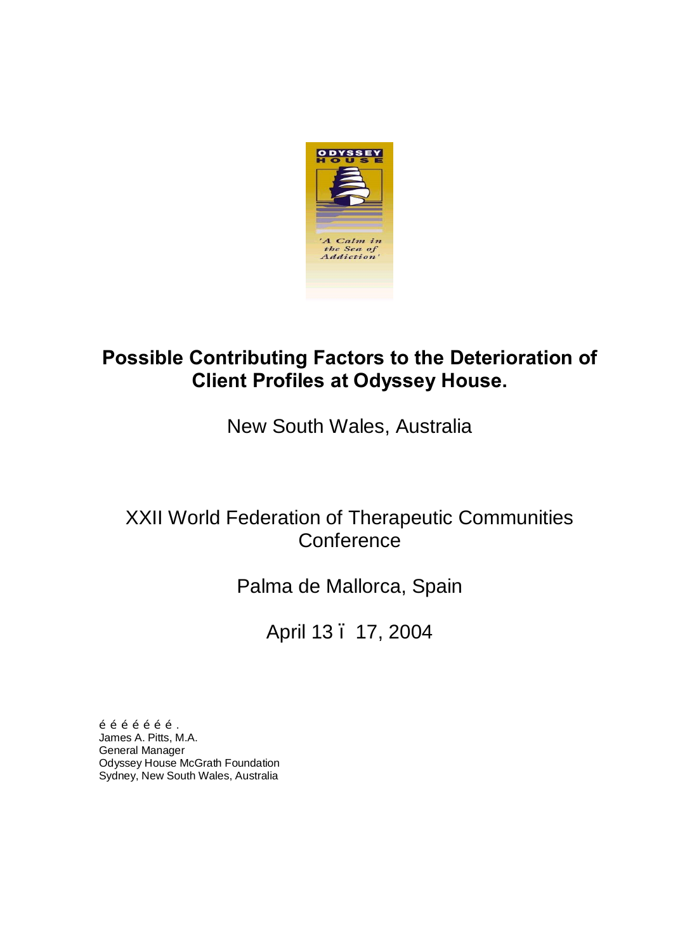

# **Possible Contributing Factors to the Deterioration of Client Profiles at Odyssey House.**

New South Wales, Australia

# XXII World Federation of Therapeutic Communities **Conference**

# Palma de Mallorca, Spain

April 13 – 17, 2004

 $\tilde{o}$   $\tilde{o}$   $\tilde{o}$   $\tilde{o}$   $\tilde{o}$   $\tilde{o}$   $\tilde{o}$   $\tilde{o}$   $\tilde{o}$ James A. Pitts, M.A. General Manager Odyssey House McGrath Foundation Sydney, New South Wales, Australia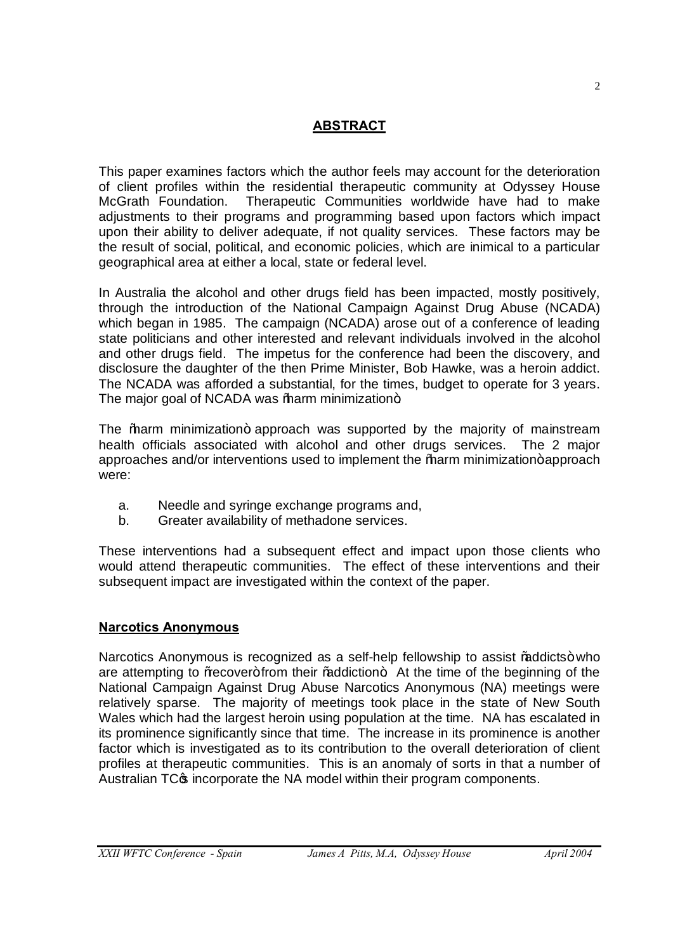# **ABSTRACT**

This paper examines factors which the author feels may account for the deterioration of client profiles within the residential therapeutic community at Odyssey House McGrath Foundation. Therapeutic Communities worldwide have had to make adjustments to their programs and programming based upon factors which impact upon their ability to deliver adequate, if not quality services. These factors may be the result of social, political, and economic policies, which are inimical to a particular geographical area at either a local, state or federal level.

In Australia the alcohol and other drugs field has been impacted, mostly positively, through the introduction of the National Campaign Against Drug Abuse (NCADA) which began in 1985. The campaign (NCADA) arose out of a conference of leading state politicians and other interested and relevant individuals involved in the alcohol and other drugs field. The impetus for the conference had been the discovery, and disclosure the daughter of the then Prime Minister, Bob Hawke, was a heroin addict. The NCADA was afforded a substantial, for the times, budget to operate for 3 years. The major goal of NCADA was % harm minimization+.

The ‰arm minimization+ approach was supported by the majority of mainstream health officials associated with alcohol and other drugs services. The 2 major approaches and/or interventions used to implement the *%* harm minimization+approach were:

- a. Needle and syringe exchange programs and,
- b. Greater availability of methadone services.

These interventions had a subsequent effect and impact upon those clients who would attend therapeutic communities. The effect of these interventions and their subsequent impact are investigated within the context of the paper.

## **Narcotics Anonymous**

Narcotics Anonymous is recognized as a self-help fellowship to assist % addicts+who are attempting to % ecover+ from their % addiction + At the time of the beginning of the National Campaign Against Drug Abuse Narcotics Anonymous (NA) meetings were relatively sparse. The majority of meetings took place in the state of New South Wales which had the largest heroin using population at the time. NA has escalated in its prominence significantly since that time. The increase in its prominence is another factor which is investigated as to its contribution to the overall deterioration of client profiles at therapeutic communities. This is an anomaly of sorts in that a number of Australian TC $\sigma$  incorporate the NA model within their program components.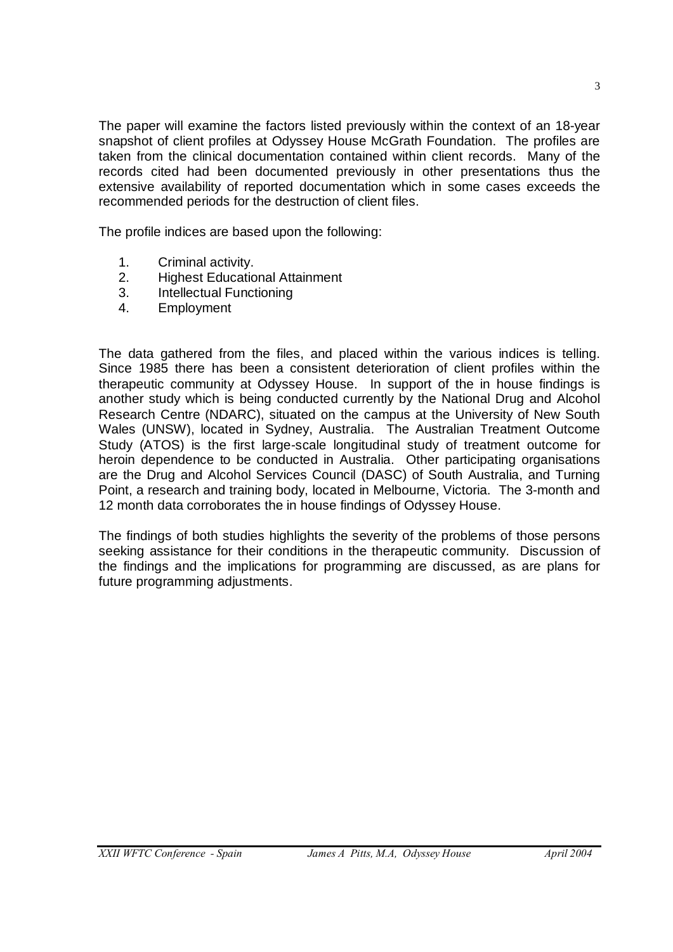The paper will examine the factors listed previously within the context of an 18-year snapshot of client profiles at Odyssey House McGrath Foundation. The profiles are taken from the clinical documentation contained within client records. Many of the records cited had been documented previously in other presentations thus the extensive availability of reported documentation which in some cases exceeds the recommended periods for the destruction of client files.

The profile indices are based upon the following:

- 1. Criminal activity.
- 2. Highest Educational Attainment
- 3. Intellectual Functioning
- 4. Employment

The data gathered from the files, and placed within the various indices is telling. Since 1985 there has been a consistent deterioration of client profiles within the therapeutic community at Odyssey House. In support of the in house findings is another study which is being conducted currently by the National Drug and Alcohol Research Centre (NDARC), situated on the campus at the University of New South Wales (UNSW), located in Sydney, Australia. The Australian Treatment Outcome Study (ATOS) is the first large-scale longitudinal study of treatment outcome for heroin dependence to be conducted in Australia. Other participating organisations are the Drug and Alcohol Services Council (DASC) of South Australia, and Turning Point, a research and training body, located in Melbourne, Victoria. The 3-month and 12 month data corroborates the in house findings of Odyssey House.

The findings of both studies highlights the severity of the problems of those persons seeking assistance for their conditions in the therapeutic community. Discussion of the findings and the implications for programming are discussed, as are plans for future programming adjustments.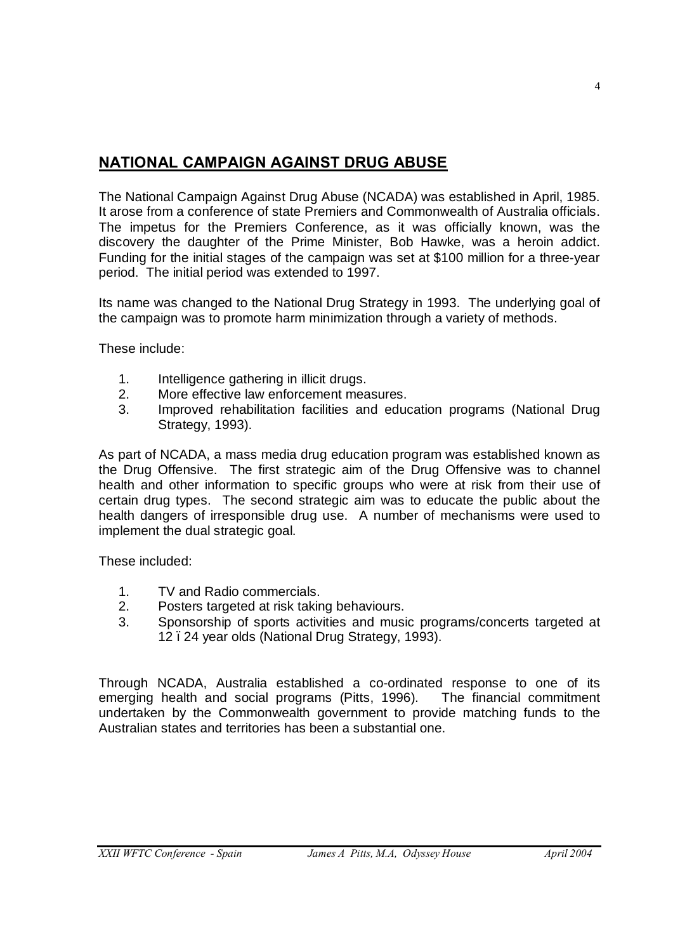# **NATIONAL CAMPAIGN AGAINST DRUG ABUSE**

The National Campaign Against Drug Abuse (NCADA) was established in April, 1985. It arose from a conference of state Premiers and Commonwealth of Australia officials. The impetus for the Premiers Conference, as it was officially known, was the discovery the daughter of the Prime Minister, Bob Hawke, was a heroin addict. Funding for the initial stages of the campaign was set at \$100 million for a three-year period. The initial period was extended to 1997.

Its name was changed to the National Drug Strategy in 1993. The underlying goal of the campaign was to promote harm minimization through a variety of methods.

These include:

- 1. Intelligence gathering in illicit drugs.
- 2. More effective law enforcement measures.
- 3. Improved rehabilitation facilities and education programs (National Drug Strategy, 1993).

As part of NCADA, a mass media drug education program was established known as the Drug Offensive. The first strategic aim of the Drug Offensive was to channel health and other information to specific groups who were at risk from their use of certain drug types. The second strategic aim was to educate the public about the health dangers of irresponsible drug use. A number of mechanisms were used to implement the dual strategic goal.

These included:

- 1. TV and Radio commercials.
- 2. Posters targeted at risk taking behaviours.
- 3. Sponsorship of sports activities and music programs/concerts targeted at 12. 24 year olds (National Drug Strategy, 1993).

Through NCADA, Australia established a co-ordinated response to one of its emerging health and social programs (Pitts, 1996). The financial commitment undertaken by the Commonwealth government to provide matching funds to the Australian states and territories has been a substantial one.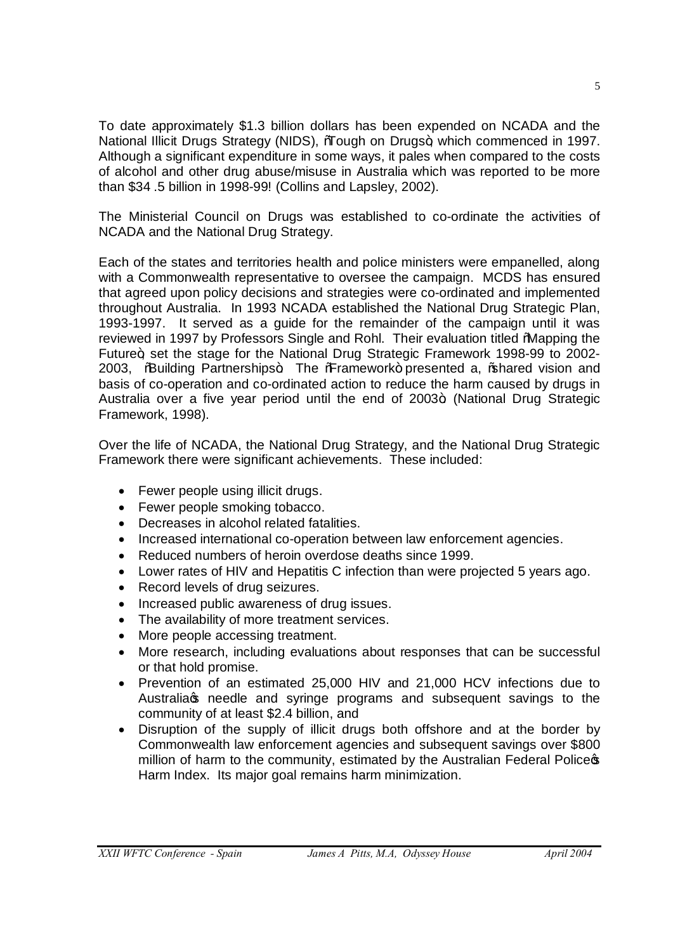To date approximately \$1.3 billion dollars has been expended on NCADA and the National Illicit Drugs Strategy (NIDS), 'Tough on Drugs+, which commenced in 1997. Although a significant expenditure in some ways, it pales when compared to the costs of alcohol and other drug abuse/misuse in Australia which was reported to be more than \$34 .5 billion in 1998-99! (Collins and Lapsley, 2002).

The Ministerial Council on Drugs was established to co-ordinate the activities of NCADA and the National Drug Strategy.

Each of the states and territories health and police ministers were empanelled, along with a Commonwealth representative to oversee the campaign. MCDS has ensured that agreed upon policy decisions and strategies were co-ordinated and implemented throughout Australia. In 1993 NCADA established the National Drug Strategic Plan, 1993-1997. It served as a guide for the remainder of the campaign until it was reviewed in 1997 by Professors Single and Rohl. Their evaluation titled "Mapping the Future+, set the stage for the National Drug Strategic Framework 1998-99 to 2002-2003, %Building Partnerships+. The %Framework+ presented a, % hared vision and basis of co-operation and co-ordinated action to reduce the harm caused by drugs in Australia over a five year period until the end of 2003+ (National Drug Strategic Framework, 1998).

Over the life of NCADA, the National Drug Strategy, and the National Drug Strategic Framework there were significant achievements. These included:

- Fewer people using illicit drugs.
- Fewer people smoking tobacco.
- · Decreases in alcohol related fatalities.
- · Increased international co-operation between law enforcement agencies.
- · Reduced numbers of heroin overdose deaths since 1999.
- Lower rates of HIV and Hepatitis C infection than were projected 5 years ago.
- · Record levels of drug seizures.
- · Increased public awareness of drug issues.
- · The availability of more treatment services.
- More people accessing treatment.
- · More research, including evaluations about responses that can be successful or that hold promise.
- · Prevention of an estimated 25,000 HIV and 21,000 HCV infections due to Australia & needle and syringe programs and subsequent savings to the community of at least \$2.4 billion, and
- · Disruption of the supply of illicit drugs both offshore and at the border by Commonwealth law enforcement agencies and subsequent savings over \$800 million of harm to the community, estimated by the Australian Federal Police of Harm Index. Its major goal remains harm minimization.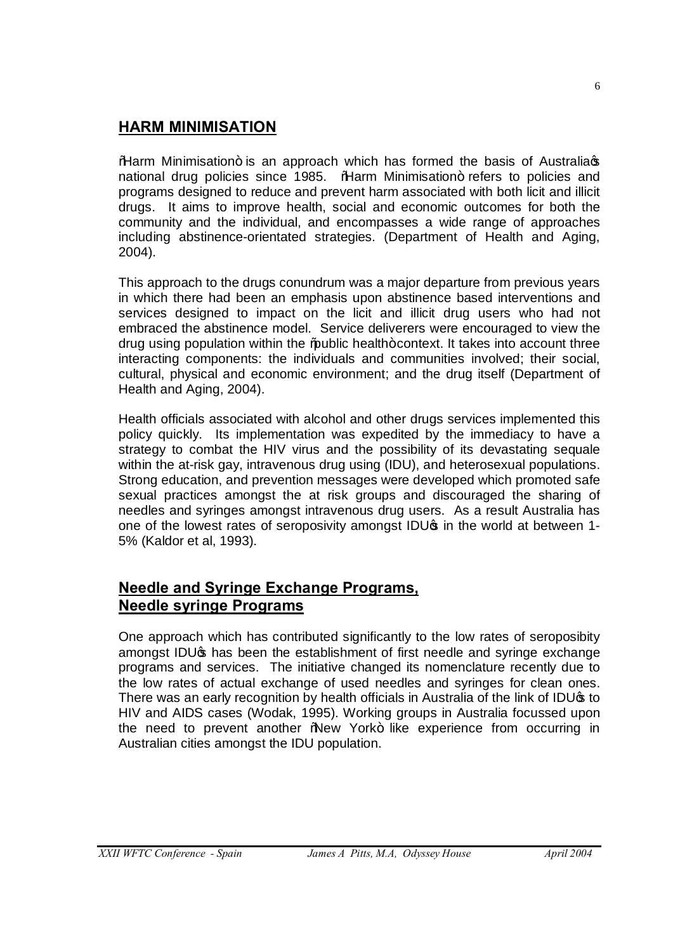# **HARM MINIMISATION**

%Harm Minimisation+ is an approach which has formed the basis of Australiags national drug policies since 1985. % Harm Minimisation+ refers to policies and programs designed to reduce and prevent harm associated with both licit and illicit drugs. It aims to improve health, social and economic outcomes for both the community and the individual, and encompasses a wide range of approaches including abstinence-orientated strategies. (Department of Health and Aging, 2004).

This approach to the drugs conundrum was a major departure from previous years in which there had been an emphasis upon abstinence based interventions and services designed to impact on the licit and illicit drug users who had not embraced the abstinence model. Service deliverers were encouraged to view the drug using population within the % bublic health+ context. It takes into account three interacting components: the individuals and communities involved; their social, cultural, physical and economic environment; and the drug itself (Department of Health and Aging, 2004).

Health officials associated with alcohol and other drugs services implemented this policy quickly. Its implementation was expedited by the immediacy to have a strategy to combat the HIV virus and the possibility of its devastating sequale within the at-risk gay, intravenous drug using (IDU), and heterosexual populations. Strong education, and prevention messages were developed which promoted safe sexual practices amongst the at risk groups and discouraged the sharing of needles and syringes amongst intravenous drug users. As a result Australia has one of the lowest rates of seroposivity amongst IDU<sub>s</sub> in the world at between 1-5% (Kaldor et al, 1993).

# **Needle and Syringe Exchange Programs, Needle syringe Programs**

One approach which has contributed significantly to the low rates of seroposibity amongst IDU $\sigma$  has been the establishment of first needle and syringe exchange programs and services. The initiative changed its nomenclature recently due to the low rates of actual exchange of used needles and syringes for clean ones. There was an early recognition by health officials in Australia of the link of IDU<sup>\$</sup> to HIV and AIDS cases (Wodak, 1995). Working groups in Australia focussed upon the need to prevent another 'New York+ like experience from occurring in Australian cities amongst the IDU population.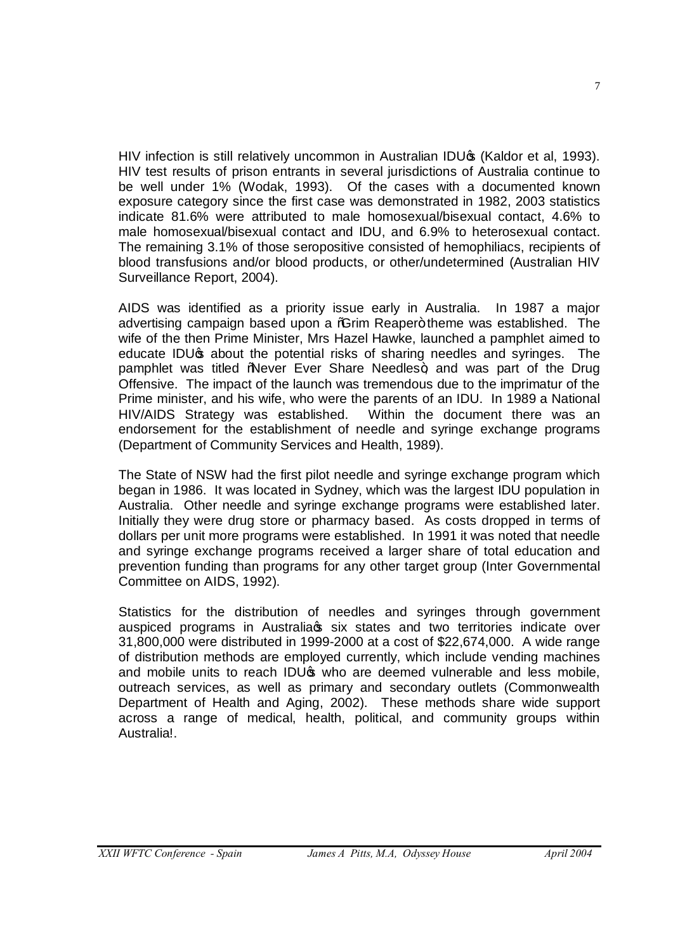HIV infection is still relatively uncommon in Australian IDUG (Kaldor et al, 1993). HIV test results of prison entrants in several jurisdictions of Australia continue to be well under 1% (Wodak, 1993). Of the cases with a documented known exposure category since the first case was demonstrated in 1982, 2003 statistics indicate 81.6% were attributed to male homosexual/bisexual contact, 4.6% to male homosexual/bisexual contact and IDU, and 6.9% to heterosexual contact. The remaining 3.1% of those seropositive consisted of hemophiliacs, recipients of blood transfusions and/or blood products, or other/undetermined (Australian HIV Surveillance Report, 2004).

AIDS was identified as a priority issue early in Australia. In 1987 a major advertising campaign based upon a *C*im Reaper+theme was established. The wife of the then Prime Minister, Mrs Hazel Hawke, launched a pamphlet aimed to educate IDU<sub><sup>\$</sub></sup> about the potential risks of sharing needles and syringes. The</sub> pamphlet was titled "Never Ever Share Needles+, and was part of the Drug Offensive. The impact of the launch was tremendous due to the imprimatur of the Prime minister, and his wife, who were the parents of an IDU. In 1989 a National HIV/AIDS Strategy was established. Within the document there was an endorsement for the establishment of needle and syringe exchange programs (Department of Community Services and Health, 1989).

The State of NSW had the first pilot needle and syringe exchange program which began in 1986. It was located in Sydney, which was the largest IDU population in Australia. Other needle and syringe exchange programs were established later. Initially they were drug store or pharmacy based. As costs dropped in terms of dollars per unit more programs were established. In 1991 it was noted that needle and syringe exchange programs received a larger share of total education and prevention funding than programs for any other target group (Inter Governmental Committee on AIDS, 1992).

Statistics for the distribution of needles and syringes through government auspiced programs in Australia s six states and two territories indicate over 31,800,000 were distributed in 1999-2000 at a cost of \$22,674,000. A wide range of distribution methods are employed currently, which include vending machines and mobile units to reach IDU $\phi$  who are deemed vulnerable and less mobile, outreach services, as well as primary and secondary outlets (Commonwealth Department of Health and Aging, 2002). These methods share wide support across a range of medical, health, political, and community groups within Australia!.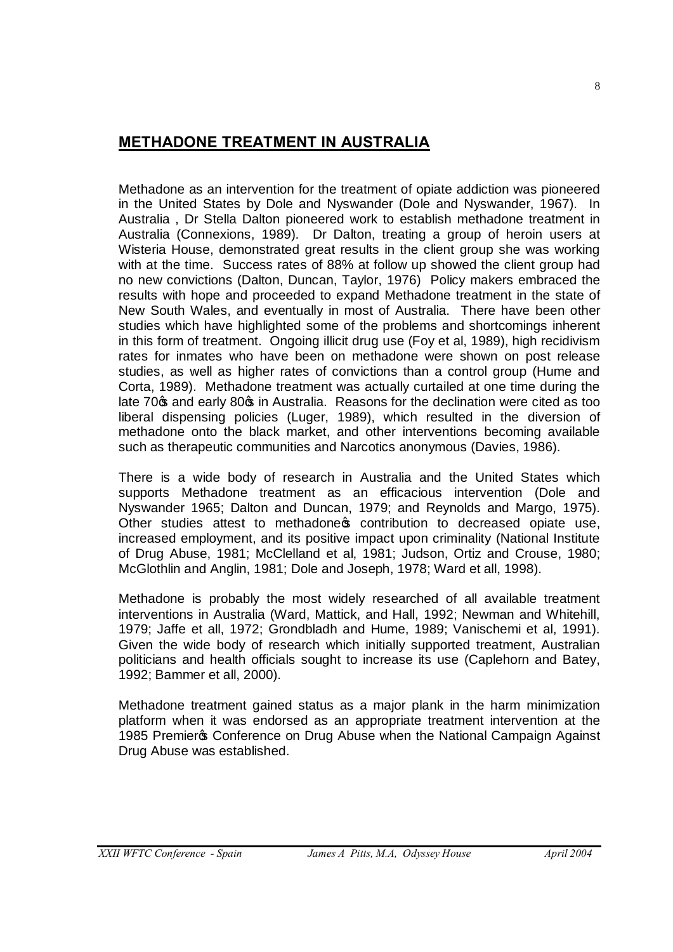# **METHADONE TREATMENT IN AUSTRALIA**

Methadone as an intervention for the treatment of opiate addiction was pioneered in the United States by Dole and Nyswander (Dole and Nyswander, 1967). In Australia , Dr Stella Dalton pioneered work to establish methadone treatment in Australia (Connexions, 1989). Dr Dalton, treating a group of heroin users at Wisteria House, demonstrated great results in the client group she was working with at the time. Success rates of 88% at follow up showed the client group had no new convictions (Dalton, Duncan, Taylor, 1976) Policy makers embraced the results with hope and proceeded to expand Methadone treatment in the state of New South Wales, and eventually in most of Australia. There have been other studies which have highlighted some of the problems and shortcomings inherent in this form of treatment. Ongoing illicit drug use (Foy et al, 1989), high recidivism rates for inmates who have been on methadone were shown on post release studies, as well as higher rates of convictions than a control group (Hume and Corta, 1989). Methadone treatment was actually curtailed at one time during the late 70 $\phi$  and early 80 $\phi$  in Australia. Reasons for the declination were cited as too liberal dispensing policies (Luger, 1989), which resulted in the diversion of methadone onto the black market, and other interventions becoming available such as therapeutic communities and Narcotics anonymous (Davies, 1986).

There is a wide body of research in Australia and the United States which supports Methadone treatment as an efficacious intervention (Dole and Nyswander 1965; Dalton and Duncan, 1979; and Reynolds and Margo, 1975). Other studies attest to methadone opertibution to decreased opiate use, increased employment, and its positive impact upon criminality (National Institute of Drug Abuse, 1981; McClelland et al, 1981; Judson, Ortiz and Crouse, 1980; McGlothlin and Anglin, 1981; Dole and Joseph, 1978; Ward et all, 1998).

Methadone is probably the most widely researched of all available treatment interventions in Australia (Ward, Mattick, and Hall, 1992; Newman and Whitehill, 1979; Jaffe et all, 1972; Grondbladh and Hume, 1989; Vanischemi et al, 1991). Given the wide body of research which initially supported treatment, Australian politicians and health officials sought to increase its use (Caplehorn and Batey, 1992; Bammer et all, 2000).

Methadone treatment gained status as a major plank in the harm minimization platform when it was endorsed as an appropriate treatment intervention at the 1985 Premier & Conference on Drug Abuse when the National Campaign Against Drug Abuse was established.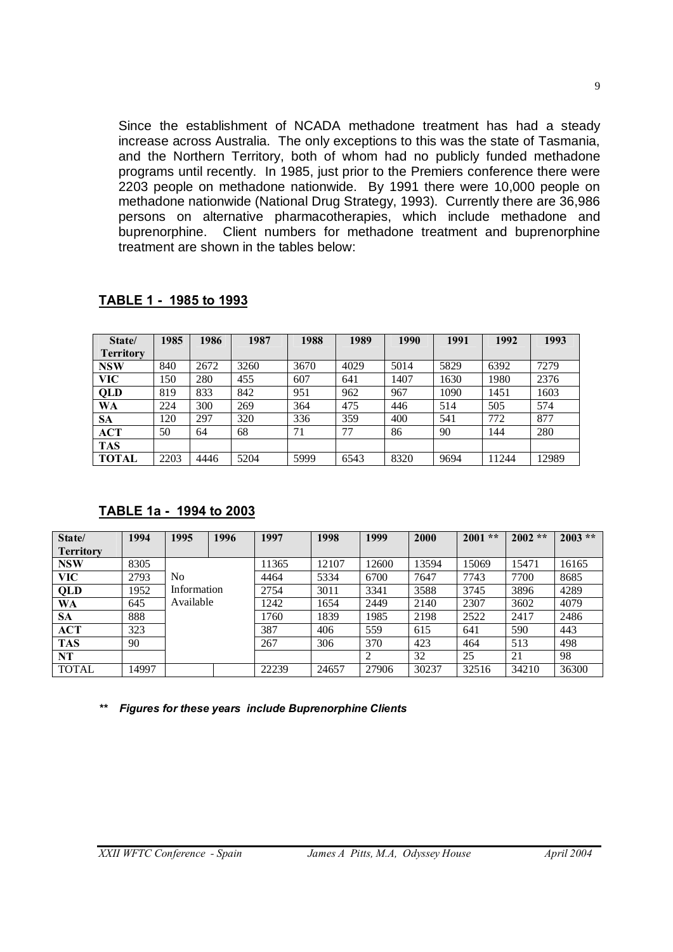Since the establishment of NCADA methadone treatment has had a steady increase across Australia. The only exceptions to this was the state of Tasmania, and the Northern Territory, both of whom had no publicly funded methadone programs until recently. In 1985, just prior to the Premiers conference there were 2203 people on methadone nationwide. By 1991 there were 10,000 people on methadone nationwide (National Drug Strategy, 1993). Currently there are 36,986 persons on alternative pharmacotherapies, which include methadone and buprenorphine. Client numbers for methadone treatment and buprenorphine treatment are shown in the tables below:

| State/           | 1985 | 1986 | 1987 | 1988 | 1989 | 1990 | 1991 | 1992  | 1993  |
|------------------|------|------|------|------|------|------|------|-------|-------|
| <b>Territory</b> |      |      |      |      |      |      |      |       |       |
| <b>NSW</b>       | 840  | 2672 | 3260 | 3670 | 4029 | 5014 | 5829 | 6392  | 7279  |
| VIC-             | l 50 | 280  | 455  | 607  | 641  | 1407 | 1630 | 1980  | 2376  |
| <b>QLD</b>       | 819  | 833  | 842  | 951  | 962  | 967  | 1090 | 1451  | 1603  |
| <b>WA</b>        | 224  | 300  | 269  | 364  | 475  | 446  | 514  | 505   | 574   |
| SА               | 120  | 297  | 320  | 336  | 359  | 400  | 541  | 772   | 877   |
| <b>ACT</b>       | 50   | 64   | 68   | 71   | 77   | 86   | 90   | 144   | 280   |
| <b>TAS</b>       |      |      |      |      |      |      |      |       |       |
| <b>TOTAL</b>     | 2203 | 4446 | 5204 | 5999 | 6543 | 8320 | 9694 | 11244 | 12989 |

#### **TABLE 1 - 1985 to 1993**

## **TABLE 1a - 1994 to 2003**

| State/           | 1994  | 1995        | 1996 | 1997  | 1998  | 1999  | 2000  | 2001<br>$**$ | $2002**$ | $2003$ ** |
|------------------|-------|-------------|------|-------|-------|-------|-------|--------------|----------|-----------|
| <b>Territory</b> |       |             |      |       |       |       |       |              |          |           |
| <b>NSW</b>       | 8305  |             |      | 11365 | 12107 | 12600 | 13594 | 15069        | 15471    | 16165     |
| <b>VIC</b>       | 2793  | No          |      | 4464  | 5334  | 6700  | 7647  | 7743         | 7700     | 8685      |
| QLD              | 1952  | Information |      | 2754  | 3011  | 3341  | 3588  | 3745         | 3896     | 4289      |
| <b>WA</b>        | 645   | Available   |      | 1242  | 1654  | 2449  | 2140  | 2307         | 3602     | 4079      |
| <b>SA</b>        | 888   |             |      | 1760  | 1839  | 1985  | 2198  | 2522         | 2417     | 2486      |
| ACT              | 323   |             |      | 387   | 406   | 559   | 615   | 641          | 590      | 443       |
| <b>TAS</b>       | 90    |             |      | 267   | 306   | 370   | 423   | 464          | 513      | 498       |
| <b>NT</b>        |       |             |      |       |       | 2     | 32    | 25           | 21       | 98        |
| <b>TOTAL</b>     | 14997 |             |      | 22239 | 24657 | 27906 | 30237 | 32516        | 34210    | 36300     |

*\*\* Figures for these years include Buprenorphine Clients*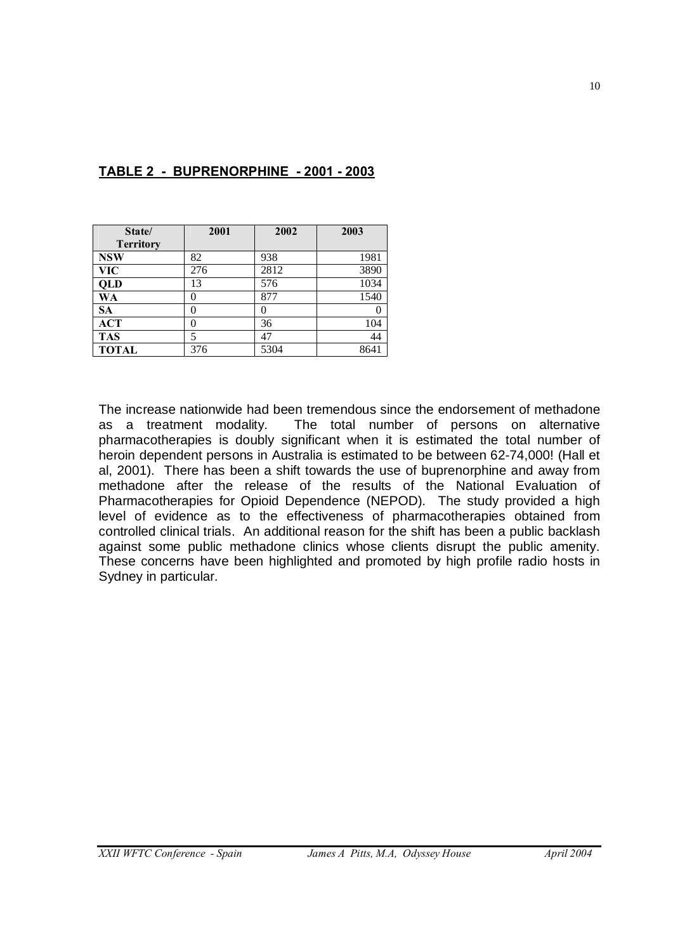| State/           | 2001 | 2002 | 2003 |
|------------------|------|------|------|
| <b>Territory</b> |      |      |      |
| <b>NSW</b>       | 82   | 938  | 1981 |
| <b>VIC</b>       | 276  | 2812 | 3890 |
| <b>QLD</b>       | 13   | 576  | 1034 |
| WA               |      | 877  | 1540 |
| <b>SA</b>        |      |      |      |
| <b>ACT</b>       |      | 36   | 104  |
| <b>TAS</b>       | 5    | 47   | 44   |
| <b>TOTAL</b>     | 376  | 5304 | 8641 |

# **TABLE 2 - BUPRENORPHINE - 2001 - 2003**

The increase nationwide had been tremendous since the endorsement of methadone as a treatment modality. The total number of persons on alternative pharmacotherapies is doubly significant when it is estimated the total number of heroin dependent persons in Australia is estimated to be between 62-74,000! (Hall et al, 2001). There has been a shift towards the use of buprenorphine and away from methadone after the release of the results of the National Evaluation of Pharmacotherapies for Opioid Dependence (NEPOD). The study provided a high level of evidence as to the effectiveness of pharmacotherapies obtained from controlled clinical trials. An additional reason for the shift has been a public backlash against some public methadone clinics whose clients disrupt the public amenity. These concerns have been highlighted and promoted by high profile radio hosts in Sydney in particular.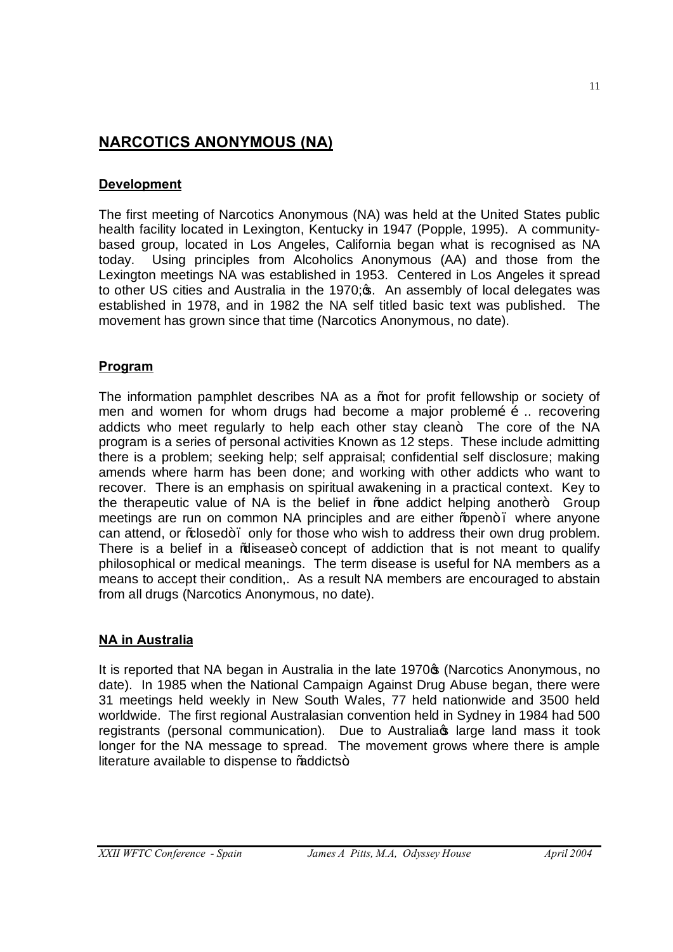# **NARCOTICS ANONYMOUS (NA)**

# **Development**

The first meeting of Narcotics Anonymous (NA) was held at the United States public health facility located in Lexington, Kentucky in 1947 (Popple, 1995). A communitybased group, located in Los Angeles, California began what is recognised as NA today. Using principles from Alcoholics Anonymous (AA) and those from the Lexington meetings NA was established in 1953. Centered in Los Angeles it spread to other US cities and Australia in the 1970;  $\infty$ . An assembly of local delegates was established in 1978, and in 1982 the NA self titled basic text was published. The movement has grown since that time (Narcotics Anonymous, no date).

# **Program**

The information pamphlet describes NA as a *%*tot for profit fellowship or society of men and women for whom drugs had become a major problemõ õ... recovering addicts who meet regularly to help each other stay clean+. The core of the NA program is a series of personal activities Known as 12 steps. These include admitting there is a problem; seeking help; self appraisal; confidential self disclosure; making amends where harm has been done; and working with other addicts who want to recover. There is an emphasis on spiritual awakening in a practical context. Key to the therapeutic value of NA is the belief in  $%$  and addict helping another+. Group meetings are run on common NA principles and are either % pen+. where anyone can attend, or % dosed +. only for those who wish to address their own drug problem. There is a belief in a % lisease+ concept of addiction that is not meant to qualify philosophical or medical meanings. The term disease is useful for NA members as a means to accept their condition,. As a result NA members are encouraged to abstain from all drugs (Narcotics Anonymous, no date).

# **NA in Australia**

It is reported that NA began in Australia in the late 1970 $\sigma$  (Narcotics Anonymous, no date). In 1985 when the National Campaign Against Drug Abuse began, there were 31 meetings held weekly in New South Wales, 77 held nationwide and 3500 held worldwide. The first regional Australasian convention held in Sydney in 1984 had 500 registrants (personal communication). Due to Australia iarge land mass it took longer for the NA message to spread. The movement grows where there is ample literature available to dispense to % addicts+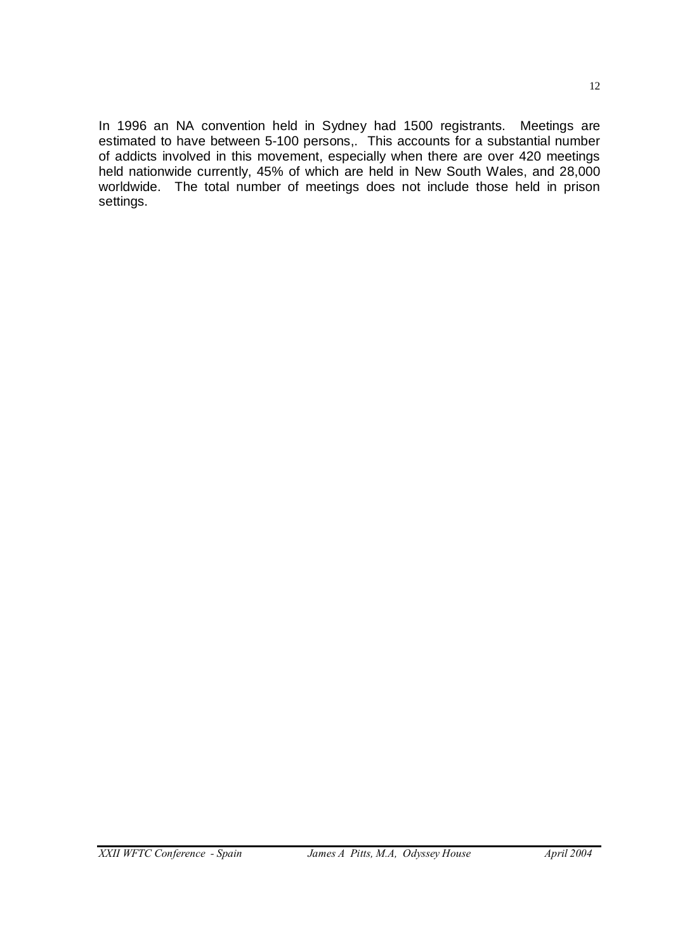In 1996 an NA convention held in Sydney had 1500 registrants. Meetings are estimated to have between 5-100 persons,. This accounts for a substantial number of addicts involved in this movement, especially when there are over 420 meetings held nationwide currently, 45% of which are held in New South Wales, and 28,000 worldwide. The total number of meetings does not include those held in prison settings.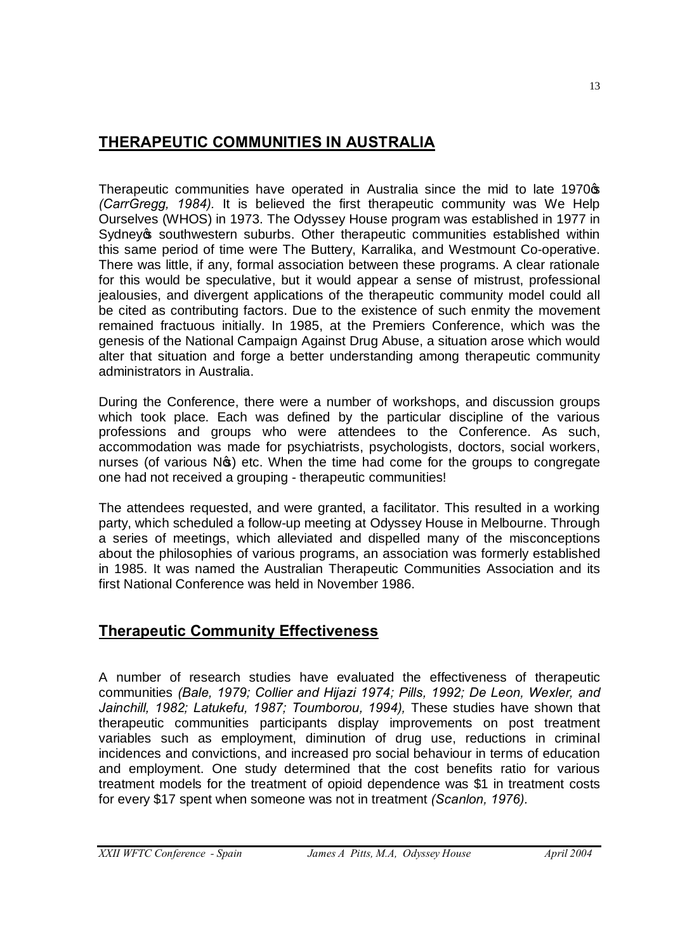# **THERAPEUTIC COMMUNITIES IN AUSTRALIA**

Therapeutic communities have operated in Australia since the mid to late 1970<sup>\$</sup> *(CarrGregg, 1984).* It is believed the first therapeutic community was We Help Ourselves (WHOS) in 1973. The Odyssey House program was established in 1977 in Sydney<sub>s</sub> southwestern suburbs. Other therapeutic communities established within this same period of time were The Buttery, Karralika, and Westmount Co-operative. There was little, if any, formal association between these programs. A clear rationale for this would be speculative, but it would appear a sense of mistrust, professional jealousies, and divergent applications of the therapeutic community model could all be cited as contributing factors. Due to the existence of such enmity the movement remained fractuous initially. In 1985, at the Premiers Conference, which was the genesis of the National Campaign Against Drug Abuse, a situation arose which would alter that situation and forge a better understanding among therapeutic community administrators in Australia.

During the Conference, there were a number of workshops, and discussion groups which took place. Each was defined by the particular discipline of the various professions and groups who were attendees to the Conference. As such, accommodation was made for psychiatrists, psychologists, doctors, social workers, nurses (of various N<sub>S</sub>) etc. When the time had come for the groups to congregate one had not received a grouping - therapeutic communities!

The attendees requested, and were granted, a facilitator. This resulted in a working party, which scheduled a follow-up meeting at Odyssey House in Melbourne. Through a series of meetings, which alleviated and dispelled many of the misconceptions about the philosophies of various programs, an association was formerly established in 1985. It was named the Australian Therapeutic Communities Association and its first National Conference was held in November 1986.

# **Therapeutic Community Effectiveness**

A number of research studies have evaluated the effectiveness of therapeutic communities *(Bale, 1979; Collier and Hijazi 1974; Pills, 1992; De Leon, Wexler, and*  Jainchill, 1982; Latukefu, 1987; Toumborou, 1994), These studies have shown that therapeutic communities participants display improvements on post treatment variables such as employment, diminution of drug use, reductions in criminal incidences and convictions, and increased pro social behaviour in terms of education and employment. One study determined that the cost benefits ratio for various treatment models for the treatment of opioid dependence was \$1 in treatment costs for every \$17 spent when someone was not in treatment *(Scanlon, 1976).*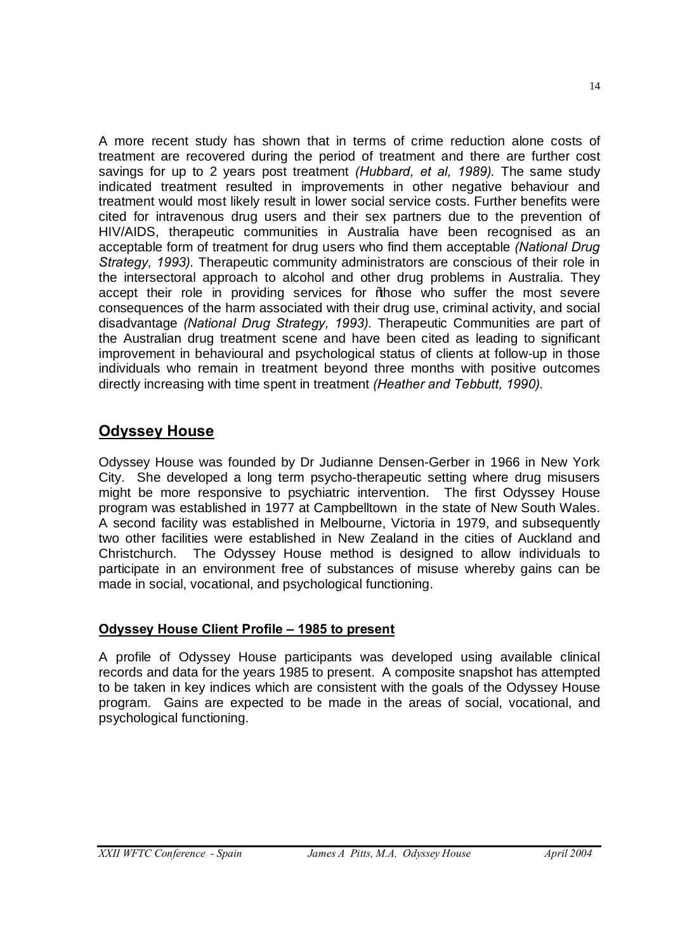A more recent study has shown that in terms of crime reduction alone costs of treatment are recovered during the period of treatment and there are further cost savings for up to 2 years post treatment *(Hubbard, et al, 1989).* The same study indicated treatment resulted in improvements in other negative behaviour and treatment would most likely result in lower social service costs. Further benefits were cited for intravenous drug users and their sex partners due to the prevention of HIV/AIDS, therapeutic communities in Australia have been recognised as an acceptable form of treatment for drug users who find them acceptable *(National Drug Strategy, 1993).* Therapeutic community administrators are conscious of their role in the intersectoral approach to alcohol and other drug problems in Australia. They accept their role in providing services for % hose who suffer the most severe consequences of the harm associated with their drug use, criminal activity, and social disadvantage *(National Drug Strategy, 1993).* Therapeutic Communities are part of the Australian drug treatment scene and have been cited as leading to significant improvement in behavioural and psychological status of clients at follow-up in those individuals who remain in treatment beyond three months with positive outcomes directly increasing with time spent in treatment *(Heather and Tebbutt, 1990).*

# **Odyssey House**

Odyssey House was founded by Dr Judianne Densen-Gerber in 1966 in New York City. She developed a long term psycho-therapeutic setting where drug misusers might be more responsive to psychiatric intervention. The first Odyssey House program was established in 1977 at Campbelltown in the state of New South Wales. A second facility was established in Melbourne, Victoria in 1979, and subsequently two other facilities were established in New Zealand in the cities of Auckland and Christchurch. The Odyssey House method is designed to allow individuals to participate in an environment free of substances of misuse whereby gains can be made in social, vocational, and psychological functioning.

# **Odyssey House Client Profile – 1985 to present**

A profile of Odyssey House participants was developed using available clinical records and data for the years 1985 to present. A composite snapshot has attempted to be taken in key indices which are consistent with the goals of the Odyssey House program. Gains are expected to be made in the areas of social, vocational, and psychological functioning.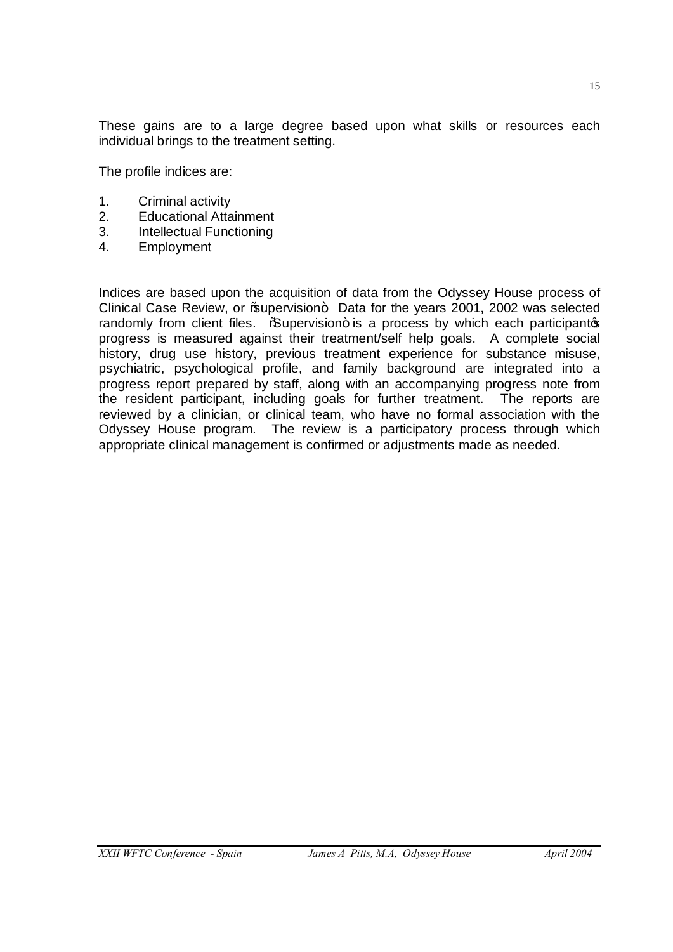These gains are to a large degree based upon what skills or resources each individual brings to the treatment setting.

The profile indices are:

- 1. Criminal activity
- 2. Educational Attainment
- 3. Intellectual Functioning
- 4. Employment

Indices are based upon the acquisition of data from the Odyssey House process of Clinical Case Review, or % upervision+ Data for the years 2001, 2002 was selected randomly from client files.  $\sqrt{\omega}$ upervision+ is a process by which each participantos progress is measured against their treatment/self help goals. A complete social history, drug use history, previous treatment experience for substance misuse, psychiatric, psychological profile, and family background are integrated into a progress report prepared by staff, along with an accompanying progress note from the resident participant, including goals for further treatment. The reports are reviewed by a clinician, or clinical team, who have no formal association with the Odyssey House program. The review is a participatory process through which appropriate clinical management is confirmed or adjustments made as needed.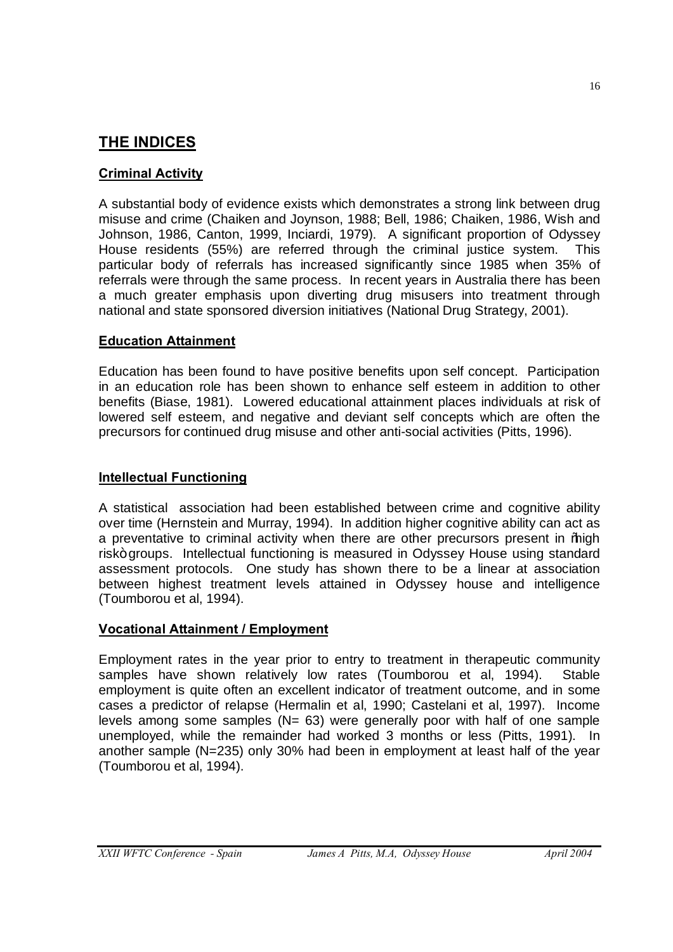# **THE INDICES**

# **Criminal Activity**

A substantial body of evidence exists which demonstrates a strong link between drug misuse and crime (Chaiken and Joynson, 1988; Bell, 1986; Chaiken, 1986, Wish and Johnson, 1986, Canton, 1999, Inciardi, 1979). A significant proportion of Odyssey House residents (55%) are referred through the criminal justice system. This particular body of referrals has increased significantly since 1985 when 35% of referrals were through the same process. In recent years in Australia there has been a much greater emphasis upon diverting drug misusers into treatment through national and state sponsored diversion initiatives (National Drug Strategy, 2001).

## **Education Attainment**

Education has been found to have positive benefits upon self concept. Participation in an education role has been shown to enhance self esteem in addition to other benefits (Biase, 1981). Lowered educational attainment places individuals at risk of lowered self esteem, and negative and deviant self concepts which are often the precursors for continued drug misuse and other anti-social activities (Pitts, 1996).

## **Intellectual Functioning**

A statistical association had been established between crime and cognitive ability over time (Hernstein and Murray, 1994). In addition higher cognitive ability can act as a preventative to criminal activity when there are other precursors present in % hach risk+ groups. Intellectual functioning is measured in Odyssey House using standard assessment protocols. One study has shown there to be a linear at association between highest treatment levels attained in Odyssey house and intelligence (Toumborou et al, 1994).

## **Vocational Attainment / Employment**

Employment rates in the year prior to entry to treatment in therapeutic community samples have shown relatively low rates (Toumborou et al, 1994). Stable employment is quite often an excellent indicator of treatment outcome, and in some cases a predictor of relapse (Hermalin et al, 1990; Castelani et al, 1997). Income levels among some samples  $(N= 63)$  were generally poor with half of one sample unemployed, while the remainder had worked 3 months or less (Pitts, 1991). In another sample (N=235) only 30% had been in employment at least half of the year (Toumborou et al, 1994).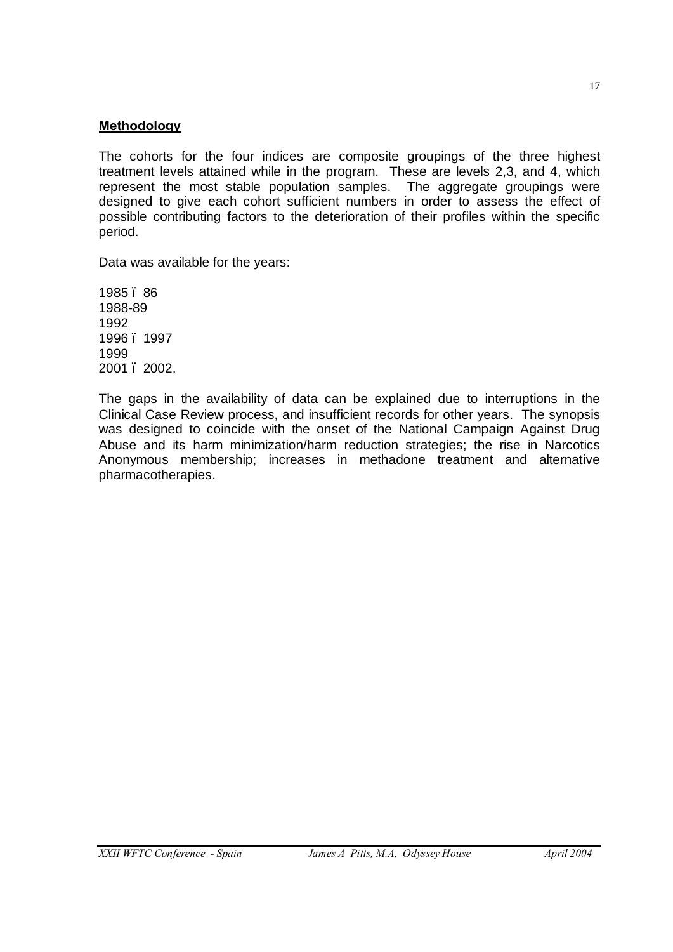#### **Methodology**

The cohorts for the four indices are composite groupings of the three highest treatment levels attained while in the program. These are levels 2,3, and 4, which represent the most stable population samples. The aggregate groupings were designed to give each cohort sufficient numbers in order to assess the effect of possible contributing factors to the deterioration of their profiles within the specific period.

Data was available for the years:

1985 – 86 1988-89 1992 1996 – 1997 1999 2001 – 2002.

The gaps in the availability of data can be explained due to interruptions in the Clinical Case Review process, and insufficient records for other years. The synopsis was designed to coincide with the onset of the National Campaign Against Drug Abuse and its harm minimization/harm reduction strategies; the rise in Narcotics Anonymous membership; increases in methadone treatment and alternative pharmacotherapies.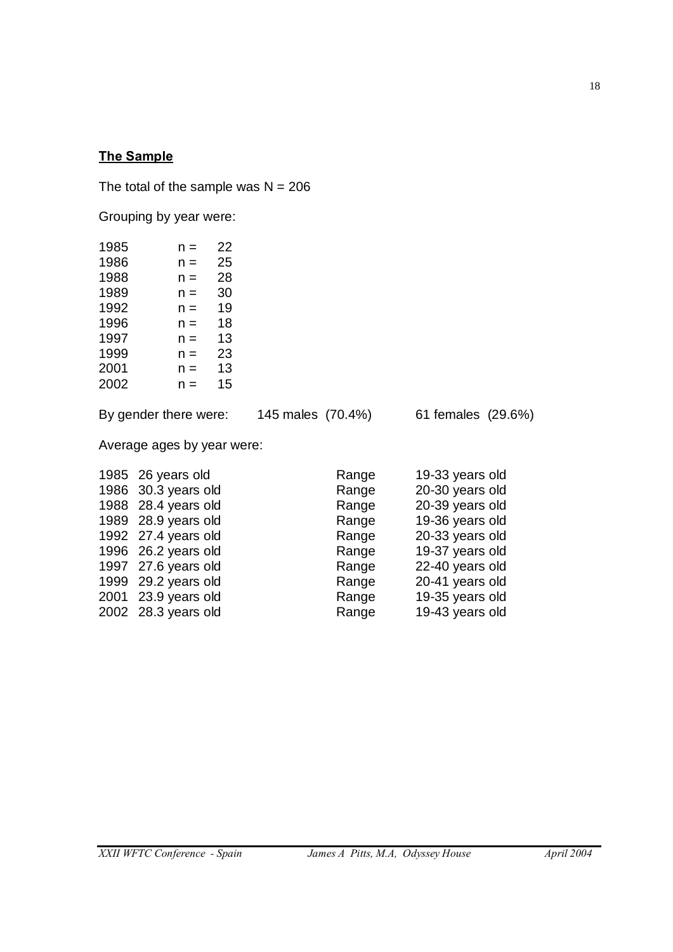# **The Sample**

The total of the sample was  $N = 206$ 

Grouping by year were:

| 1985 | n =   | 22 |
|------|-------|----|
| 1986 | n =   | 25 |
| 1988 | $n =$ | 28 |
| 1989 | $n =$ | 30 |
| 1992 | $n =$ | 19 |
| 1996 | $n =$ | 18 |
| 1997 | $n =$ | 13 |
| 1999 | $n =$ | 23 |
| 2001 | $n =$ | 13 |
| 2002 | $n =$ | 15 |
|      |       |    |

By gender there were: 145 males (70.4%) 61 females (29.6%)

Average ages by year were:

| 1985 26 years old<br>1986 30.3 years old<br>1988 28.4 years old<br>1989 28.9 years old<br>1992 27.4 years old<br>1996 26.2 years old<br>1997 27.6 years old<br>1999 29.2 years old<br>2001 23.9 years old | Range<br>Range<br>Range<br>Range<br>Range<br>Range<br>Range<br>Range<br>Range | 19-33 years old<br>20-30 years old<br>20-39 years old<br>19-36 years old<br>20-33 years old<br>19-37 years old<br>22-40 years old<br>20-41 years old<br>19-35 years old |
|-----------------------------------------------------------------------------------------------------------------------------------------------------------------------------------------------------------|-------------------------------------------------------------------------------|-------------------------------------------------------------------------------------------------------------------------------------------------------------------------|
| 2002 28.3 years old                                                                                                                                                                                       | Range                                                                         | 19-43 years old                                                                                                                                                         |
|                                                                                                                                                                                                           |                                                                               |                                                                                                                                                                         |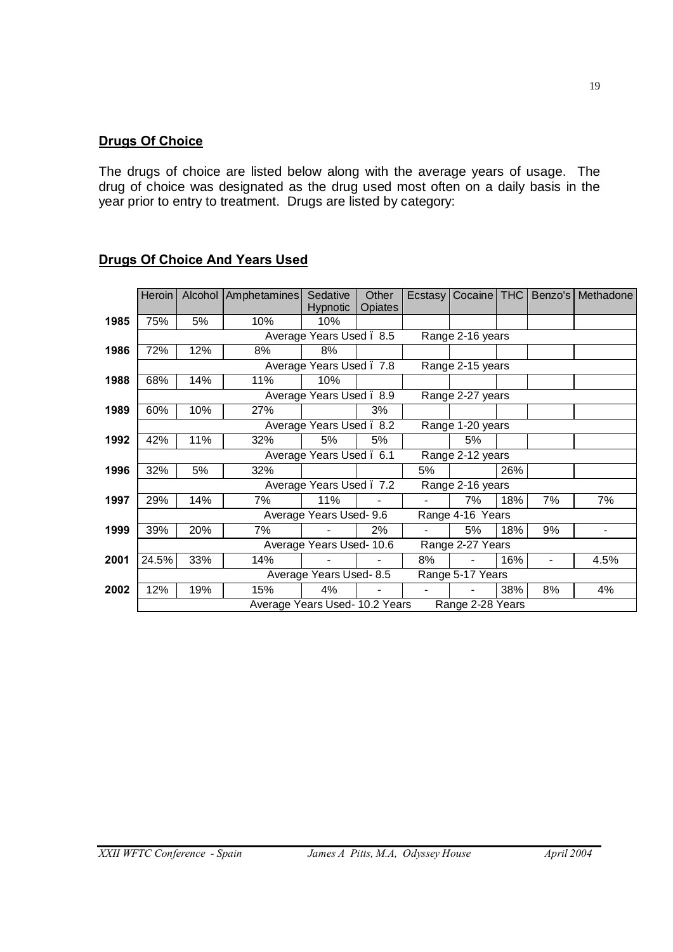## **Drugs Of Choice**

The drugs of choice are listed below along with the average years of usage. The drug of choice was designated as the drug used most often on a daily basis in the year prior to entry to treatment. Drugs are listed by category:

|      | Heroin | Alcohol | Amphetamines                   | Sedative<br><b>Hypnotic</b> | Other<br>Opiates | Ecstasy | Cocaine          | <b>THC</b> | Benzo's | Methadone |
|------|--------|---------|--------------------------------|-----------------------------|------------------|---------|------------------|------------|---------|-----------|
| 1985 | 75%    | 5%      | 10%                            | 10%                         |                  |         |                  |            |         |           |
|      |        |         |                                | Average Years Used. 8.5     |                  |         | Range 2-16 years |            |         |           |
| 1986 | 72%    | 12%     | 8%                             | 8%                          |                  |         |                  |            |         |           |
|      |        |         |                                | Average Years Used. 7.8     |                  |         | Range 2-15 years |            |         |           |
| 1988 | 68%    | 14%     | 11%                            | 10%                         |                  |         |                  |            |         |           |
|      |        |         |                                |                             |                  |         |                  |            |         |           |
|      |        |         |                                | Average Years Used. 8.9     |                  |         | Range 2-27 years |            |         |           |
| 1989 | 60%    | 10%     | 27%                            |                             | 3%               |         |                  |            |         |           |
|      |        |         |                                | Average Years Used. 8.2     |                  |         | Range 1-20 years |            |         |           |
| 1992 | 42%    | 11%     | 32%                            | 5%                          | 5%               |         | 5%               |            |         |           |
|      |        |         |                                | Average Years Used. 6.1     |                  |         | Range 2-12 years |            |         |           |
| 1996 | 32%    | 5%      | 32%                            |                             |                  | 5%      |                  | 26%        |         |           |
|      |        |         |                                | Average Years Used . 7.2    |                  |         | Range 2-16 years |            |         |           |
| 1997 | 29%    | 14%     | 7%                             | 11%                         |                  |         | 7%               | 18%        | 7%      | 7%        |
|      |        |         |                                | Average Years Used- 9.6     |                  |         | Range 4-16 Years |            |         |           |
| 1999 | 39%    | 20%     | 7%                             |                             | 2%               |         | 5%               | 18%        | 9%      | -         |
|      |        |         |                                | Average Years Used-10.6     |                  |         | Range 2-27 Years |            |         |           |
| 2001 | 24.5%  | 33%     | 14%                            |                             |                  | 8%      |                  | 16%        |         | 4.5%      |
|      |        |         |                                | Average Years Used-8.5      |                  |         | Range 5-17 Years |            |         |           |
| 2002 | 12%    | 19%     | 15%                            | 4%                          |                  | ٠       |                  | 38%        | 8%      | 4%        |
|      |        |         | Average Years Used- 10.2 Years |                             |                  |         | Range 2-28 Years |            |         |           |

## **Drugs Of Choice And Years Used**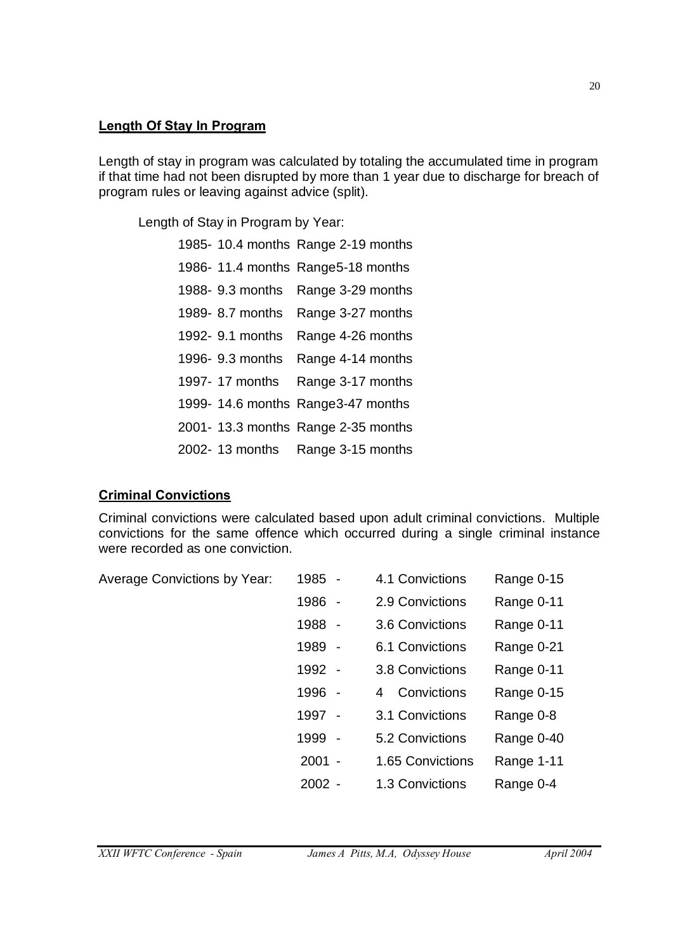#### **Length Of Stay In Program**

Length of stay in program was calculated by totaling the accumulated time in program if that time had not been disrupted by more than 1 year due to discharge for breach of program rules or leaving against advice (split).

Length of Stay in Program by Year:

|                  | 1985- 10.4 months Range 2-19 months |
|------------------|-------------------------------------|
|                  | 1986-11.4 months Range5-18 months   |
| 1988- 9.3 months | Range 3-29 months                   |
| 1989- 8.7 months | Range 3-27 months                   |
| 1992- 9.1 months | Range 4-26 months                   |
| 1996- 9.3 months | Range 4-14 months                   |
| 1997- 17 months  | Range 3-17 months                   |
|                  | 1999- 14.6 months Range 3-47 months |
|                  | 2001- 13.3 months Range 2-35 months |
| 2002- 13 months  | Range 3-15 months                   |

## **Criminal Convictions**

Criminal convictions were calculated based upon adult criminal convictions. Multiple convictions for the same offence which occurred during a single criminal instance were recorded as one conviction.

| <b>Average Convictions by Year:</b> | 1985 -   | 4.1 Convictions  | Range 0-15 |
|-------------------------------------|----------|------------------|------------|
|                                     | 1986 -   | 2.9 Convictions  | Range 0-11 |
|                                     | 1988 -   | 3.6 Convictions  | Range 0-11 |
|                                     | 1989 -   | 6.1 Convictions  | Range 0-21 |
|                                     | 1992 -   | 3.8 Convictions  | Range 0-11 |
|                                     | 1996 -   | Convictions<br>4 | Range 0-15 |
|                                     | 1997 -   | 3.1 Convictions  | Range 0-8  |
|                                     | 1999 -   | 5.2 Convictions  | Range 0-40 |
|                                     | $2001 -$ | 1.65 Convictions | Range 1-11 |
|                                     | $2002 -$ | 1.3 Convictions  | Range 0-4  |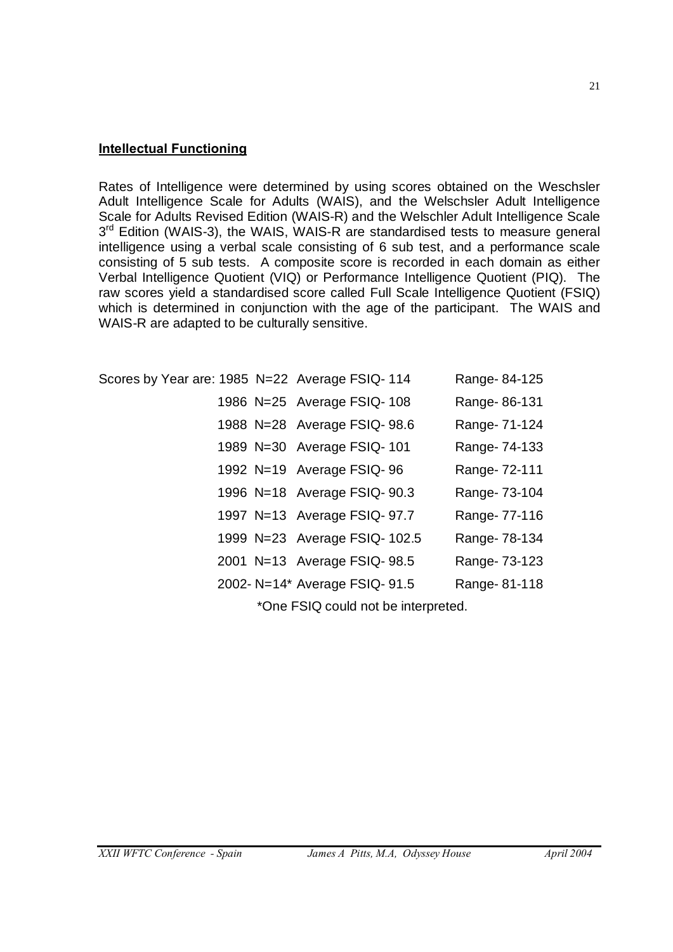#### **Intellectual Functioning**

Rates of Intelligence were determined by using scores obtained on the Weschsler Adult Intelligence Scale for Adults (WAIS), and the Welschsler Adult Intelligence Scale for Adults Revised Edition (WAIS-R) and the Welschler Adult Intelligence Scale  $3<sup>rd</sup>$  Edition (WAIS-3), the WAIS, WAIS-R are standardised tests to measure general intelligence using a verbal scale consisting of 6 sub test, and a performance scale consisting of 5 sub tests. A composite score is recorded in each domain as either Verbal Intelligence Quotient (VIQ) or Performance Intelligence Quotient (PIQ). The raw scores yield a standardised score called Full Scale Intelligence Quotient (FSIQ) which is determined in conjunction with the age of the participant. The WAIS and WAIS-R are adapted to be culturally sensitive.

| Scores by Year are: 1985 N=22 Average FSIQ-114 |  |                                | Range-84-125  |
|------------------------------------------------|--|--------------------------------|---------------|
|                                                |  | 1986 N=25 Average FSIQ-108     | Range-86-131  |
|                                                |  | 1988 N=28 Average FSIQ- 98.6   | Range- 71-124 |
|                                                |  | 1989 N=30 Average FSIQ-101     | Range- 74-133 |
|                                                |  | 1992 N=19 Average FSIQ-96      | Range- 72-111 |
|                                                |  | 1996 N=18 Average FSIQ- 90.3   | Range- 73-104 |
|                                                |  | 1997 N=13 Average FSIQ- 97.7   | Range- 77-116 |
|                                                |  | 1999 N=23 Average FSIQ- 102.5  | Range- 78-134 |
|                                                |  | 2001 N=13 Average FSIQ- 98.5   | Range- 73-123 |
|                                                |  | 2002- N=14* Average FSIQ- 91.5 | Range-81-118  |
|                                                |  |                                |               |

\*One FSIQ could not be interpreted.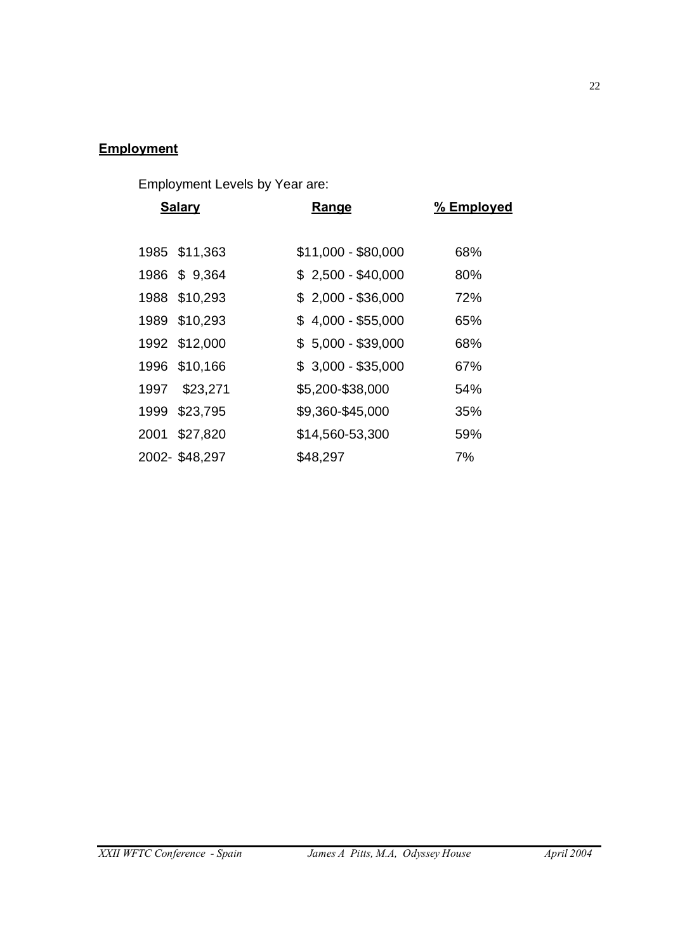# **Employment**

Employment Levels by Year are:

| <b>Salary</b> |               | Range               | % Employed |
|---------------|---------------|---------------------|------------|
|               |               |                     |            |
|               | 1985 \$11,363 | $$11,000 - $80,000$ | 68%        |
|               | 1986 \$9,364  | $$2,500 - $40,000$  | 80%        |
|               | 1988 \$10,293 | $$2,000 - $36,000$  | 72%        |
|               | 1989 \$10,293 | $$4,000 - $55,000$  | 65%        |
|               | 1992 \$12,000 | $$5,000 - $39,000$  | 68%        |
|               | 1996 \$10,166 | $$3,000 - $35,000$  | 67%        |
| 1997          | \$23,271      | \$5,200-\$38,000    | 54%        |
|               | 1999 \$23,795 | \$9,360-\$45,000    | 35%        |
|               | 2001 \$27,820 | \$14,560-53,300     | 59%        |
|               | 2002-\$48,297 | \$48,297            | 7%         |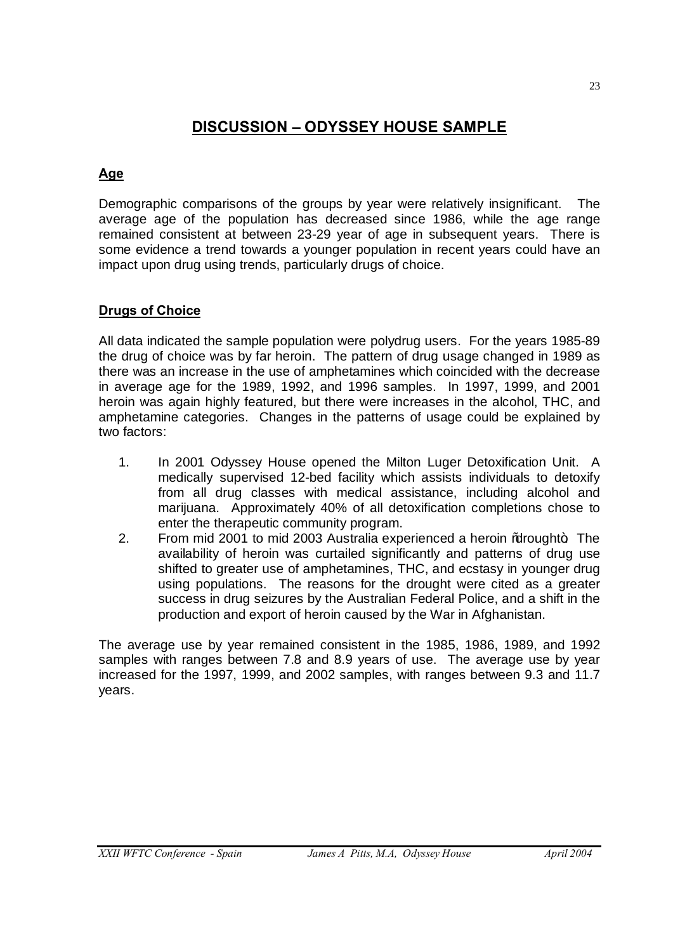# **DISCUSSION – ODYSSEY HOUSE SAMPLE**

# **Age**

Demographic comparisons of the groups by year were relatively insignificant. The average age of the population has decreased since 1986, while the age range remained consistent at between 23-29 year of age in subsequent years. There is some evidence a trend towards a younger population in recent years could have an impact upon drug using trends, particularly drugs of choice.

## **Drugs of Choice**

All data indicated the sample population were polydrug users. For the years 1985-89 the drug of choice was by far heroin. The pattern of drug usage changed in 1989 as there was an increase in the use of amphetamines which coincided with the decrease in average age for the 1989, 1992, and 1996 samples. In 1997, 1999, and 2001 heroin was again highly featured, but there were increases in the alcohol, THC, and amphetamine categories. Changes in the patterns of usage could be explained by two factors:

- 1. In 2001 Odyssey House opened the Milton Luger Detoxification Unit. A medically supervised 12-bed facility which assists individuals to detoxify from all drug classes with medical assistance, including alcohol and marijuana. Approximately 40% of all detoxification completions chose to enter the therapeutic community program.
- 2. From mid 2001 to mid 2003 Australia experienced a heroin % arought. The availability of heroin was curtailed significantly and patterns of drug use shifted to greater use of amphetamines, THC, and ecstasy in younger drug using populations. The reasons for the drought were cited as a greater success in drug seizures by the Australian Federal Police, and a shift in the production and export of heroin caused by the War in Afghanistan.

The average use by year remained consistent in the 1985, 1986, 1989, and 1992 samples with ranges between 7.8 and 8.9 years of use. The average use by year increased for the 1997, 1999, and 2002 samples, with ranges between 9.3 and 11.7 years.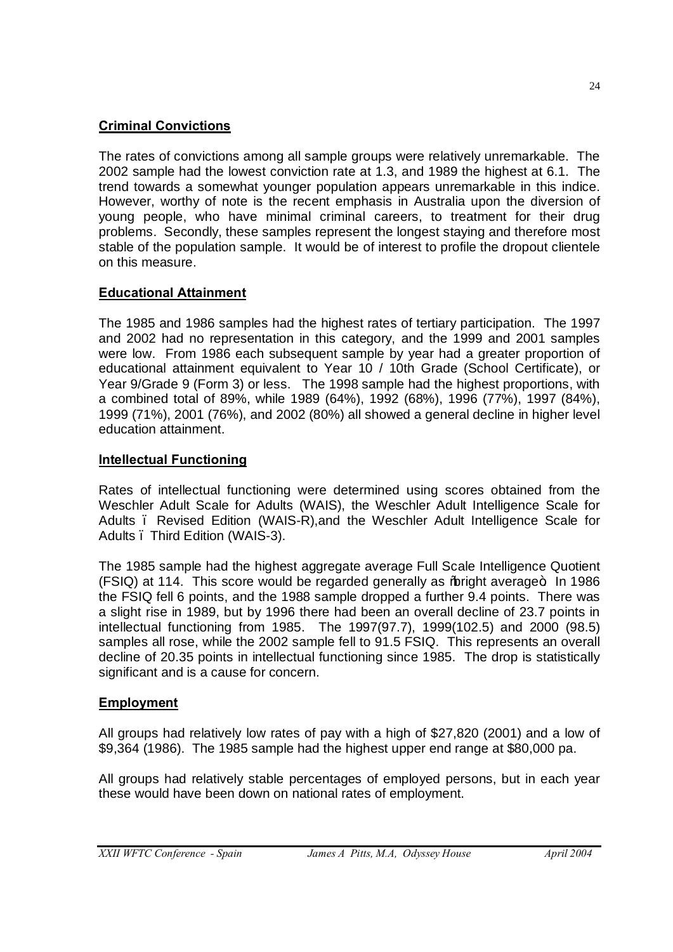# **Criminal Convictions**

The rates of convictions among all sample groups were relatively unremarkable. The 2002 sample had the lowest conviction rate at 1.3, and 1989 the highest at 6.1. The trend towards a somewhat younger population appears unremarkable in this indice. However, worthy of note is the recent emphasis in Australia upon the diversion of young people, who have minimal criminal careers, to treatment for their drug problems. Secondly, these samples represent the longest staying and therefore most stable of the population sample. It would be of interest to profile the dropout clientele on this measure.

# **Educational Attainment**

The 1985 and 1986 samples had the highest rates of tertiary participation. The 1997 and 2002 had no representation in this category, and the 1999 and 2001 samples were low. From 1986 each subsequent sample by year had a greater proportion of educational attainment equivalent to Year 10 / 10th Grade (School Certificate), or Year 9/Grade 9 (Form 3) or less. The 1998 sample had the highest proportions, with a combined total of 89%, while 1989 (64%), 1992 (68%), 1996 (77%), 1997 (84%), 1999 (71%), 2001 (76%), and 2002 (80%) all showed a general decline in higher level education attainment.

## **Intellectual Functioning**

Rates of intellectual functioning were determined using scores obtained from the Weschler Adult Scale for Adults (WAIS), the Weschler Adult Intelligence Scale for Adults . Revised Edition (WAIS-R), and the Weschler Adult Intelligence Scale for Adults – Third Edition (WAIS-3).

The 1985 sample had the highest aggregate average Full Scale Intelligence Quotient (FSIQ) at 114. This score would be regarded generally as % bright average + In 1986 the FSIQ fell 6 points, and the 1988 sample dropped a further 9.4 points. There was a slight rise in 1989, but by 1996 there had been an overall decline of 23.7 points in intellectual functioning from 1985. The 1997(97.7), 1999(102.5) and 2000 (98.5) samples all rose, while the 2002 sample fell to 91.5 FSIQ. This represents an overall decline of 20.35 points in intellectual functioning since 1985. The drop is statistically significant and is a cause for concern.

## **Employment**

All groups had relatively low rates of pay with a high of \$27,820 (2001) and a low of \$9,364 (1986). The 1985 sample had the highest upper end range at \$80,000 pa.

All groups had relatively stable percentages of employed persons, but in each year these would have been down on national rates of employment.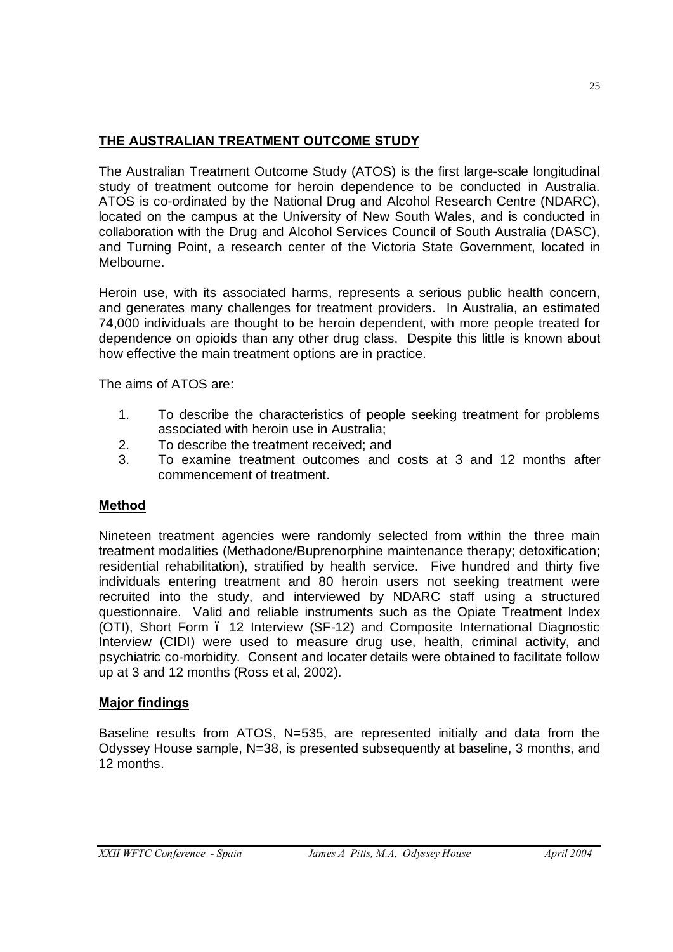# **THE AUSTRALIAN TREATMENT OUTCOME STUDY**

The Australian Treatment Outcome Study (ATOS) is the first large-scale longitudinal study of treatment outcome for heroin dependence to be conducted in Australia. ATOS is co-ordinated by the National Drug and Alcohol Research Centre (NDARC), located on the campus at the University of New South Wales, and is conducted in collaboration with the Drug and Alcohol Services Council of South Australia (DASC), and Turning Point, a research center of the Victoria State Government, located in Melbourne.

Heroin use, with its associated harms, represents a serious public health concern, and generates many challenges for treatment providers. In Australia, an estimated 74,000 individuals are thought to be heroin dependent, with more people treated for dependence on opioids than any other drug class. Despite this little is known about how effective the main treatment options are in practice.

The aims of ATOS are:

- 1. To describe the characteristics of people seeking treatment for problems associated with heroin use in Australia;
- 2. To describe the treatment received; and
- 3. To examine treatment outcomes and costs at 3 and 12 months after commencement of treatment.

# **Method**

Nineteen treatment agencies were randomly selected from within the three main treatment modalities (Methadone/Buprenorphine maintenance therapy; detoxification; residential rehabilitation), stratified by health service. Five hundred and thirty five individuals entering treatment and 80 heroin users not seeking treatment were recruited into the study, and interviewed by NDARC staff using a structured questionnaire. Valid and reliable instruments such as the Opiate Treatment Index (OTI), Short Form – 12 Interview (SF-12) and Composite International Diagnostic Interview (CIDI) were used to measure drug use, health, criminal activity, and psychiatric co-morbidity. Consent and locater details were obtained to facilitate follow up at 3 and 12 months (Ross et al, 2002).

# **Major findings**

Baseline results from ATOS, N=535, are represented initially and data from the Odyssey House sample, N=38, is presented subsequently at baseline, 3 months, and 12 months.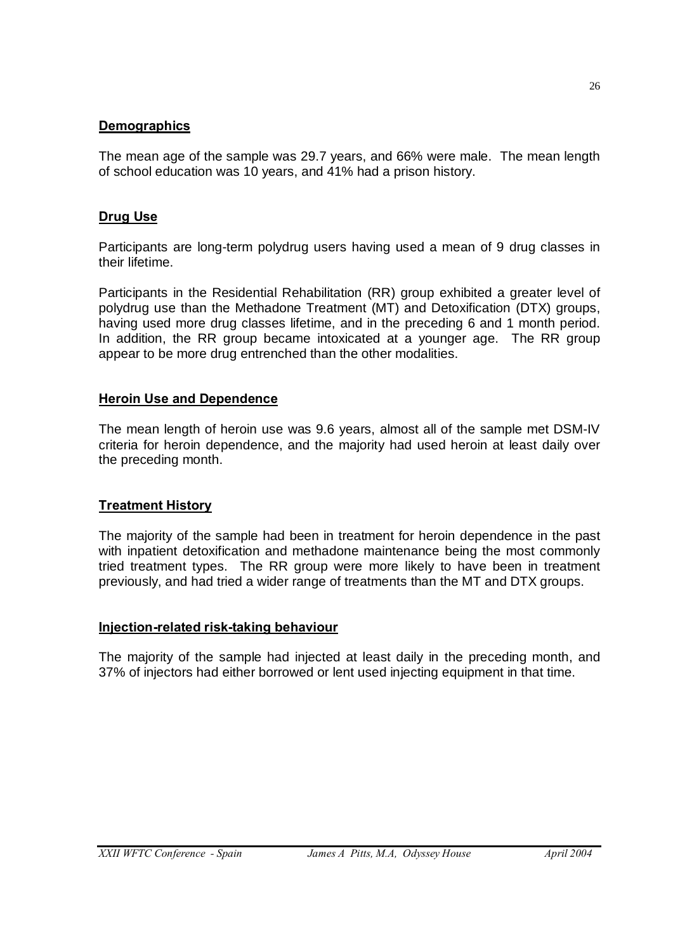#### **Demographics**

The mean age of the sample was 29.7 years, and 66% were male. The mean length of school education was 10 years, and 41% had a prison history.

## **Drug Use**

Participants are long-term polydrug users having used a mean of 9 drug classes in their lifetime.

Participants in the Residential Rehabilitation (RR) group exhibited a greater level of polydrug use than the Methadone Treatment (MT) and Detoxification (DTX) groups, having used more drug classes lifetime, and in the preceding 6 and 1 month period. In addition, the RR group became intoxicated at a younger age. The RR group appear to be more drug entrenched than the other modalities.

#### **Heroin Use and Dependence**

The mean length of heroin use was 9.6 years, almost all of the sample met DSM-IV criteria for heroin dependence, and the majority had used heroin at least daily over the preceding month.

## **Treatment History**

The majority of the sample had been in treatment for heroin dependence in the past with inpatient detoxification and methadone maintenance being the most commonly tried treatment types. The RR group were more likely to have been in treatment previously, and had tried a wider range of treatments than the MT and DTX groups.

#### **Injection-related risk-taking behaviour**

The majority of the sample had injected at least daily in the preceding month, and 37% of injectors had either borrowed or lent used injecting equipment in that time.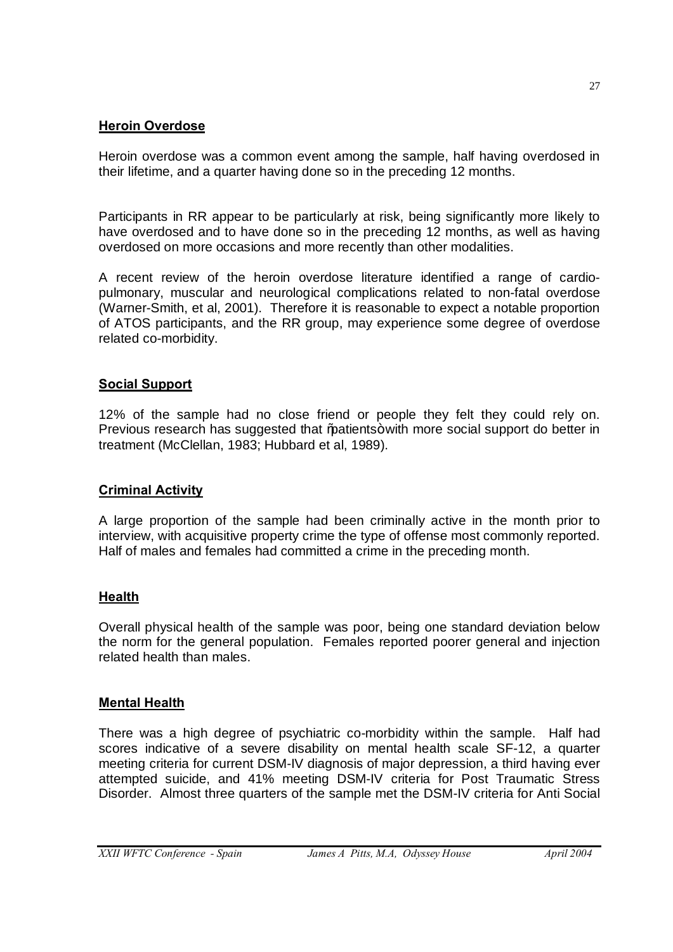## **Heroin Overdose**

Heroin overdose was a common event among the sample, half having overdosed in their lifetime, and a quarter having done so in the preceding 12 months.

Participants in RR appear to be particularly at risk, being significantly more likely to have overdosed and to have done so in the preceding 12 months, as well as having overdosed on more occasions and more recently than other modalities.

A recent review of the heroin overdose literature identified a range of cardiopulmonary, muscular and neurological complications related to non-fatal overdose (Warner-Smith, et al, 2001). Therefore it is reasonable to expect a notable proportion of ATOS participants, and the RR group, may experience some degree of overdose related co-morbidity.

## **Social Support**

12% of the sample had no close friend or people they felt they could rely on. Previous research has suggested that "patients+ with more social support do better in treatment (McClellan, 1983; Hubbard et al, 1989).

## **Criminal Activity**

A large proportion of the sample had been criminally active in the month prior to interview, with acquisitive property crime the type of offense most commonly reported. Half of males and females had committed a crime in the preceding month.

## **Health**

Overall physical health of the sample was poor, being one standard deviation below the norm for the general population. Females reported poorer general and injection related health than males.

## **Mental Health**

There was a high degree of psychiatric co-morbidity within the sample. Half had scores indicative of a severe disability on mental health scale SF-12, a quarter meeting criteria for current DSM-IV diagnosis of major depression, a third having ever attempted suicide, and 41% meeting DSM-IV criteria for Post Traumatic Stress Disorder. Almost three quarters of the sample met the DSM-IV criteria for Anti Social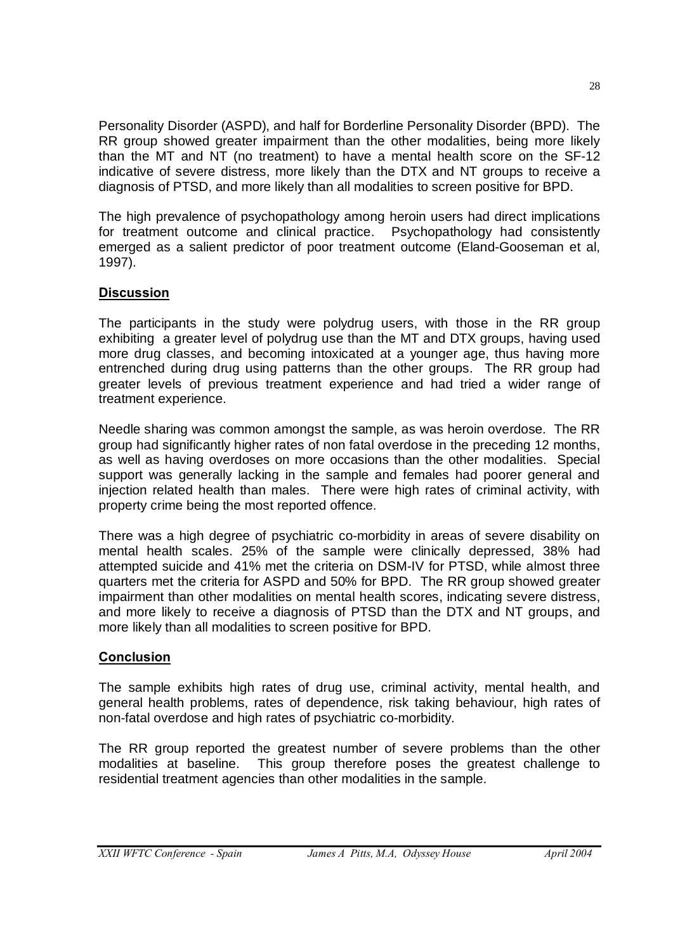Personality Disorder (ASPD), and half for Borderline Personality Disorder (BPD). The RR group showed greater impairment than the other modalities, being more likely than the MT and NT (no treatment) to have a mental health score on the SF-12 indicative of severe distress, more likely than the DTX and NT groups to receive a diagnosis of PTSD, and more likely than all modalities to screen positive for BPD.

The high prevalence of psychopathology among heroin users had direct implications for treatment outcome and clinical practice. Psychopathology had consistently emerged as a salient predictor of poor treatment outcome (Eland-Gooseman et al, 1997).

# **Discussion**

The participants in the study were polydrug users, with those in the RR group exhibiting a greater level of polydrug use than the MT and DTX groups, having used more drug classes, and becoming intoxicated at a younger age, thus having more entrenched during drug using patterns than the other groups. The RR group had greater levels of previous treatment experience and had tried a wider range of treatment experience.

Needle sharing was common amongst the sample, as was heroin overdose. The RR group had significantly higher rates of non fatal overdose in the preceding 12 months, as well as having overdoses on more occasions than the other modalities. Special support was generally lacking in the sample and females had poorer general and injection related health than males. There were high rates of criminal activity, with property crime being the most reported offence.

There was a high degree of psychiatric co-morbidity in areas of severe disability on mental health scales. 25% of the sample were clinically depressed, 38% had attempted suicide and 41% met the criteria on DSM-IV for PTSD, while almost three quarters met the criteria for ASPD and 50% for BPD. The RR group showed greater impairment than other modalities on mental health scores, indicating severe distress, and more likely to receive a diagnosis of PTSD than the DTX and NT groups, and more likely than all modalities to screen positive for BPD.

## **Conclusion**

The sample exhibits high rates of drug use, criminal activity, mental health, and general health problems, rates of dependence, risk taking behaviour, high rates of non-fatal overdose and high rates of psychiatric co-morbidity.

The RR group reported the greatest number of severe problems than the other modalities at baseline. This group therefore poses the greatest challenge to residential treatment agencies than other modalities in the sample.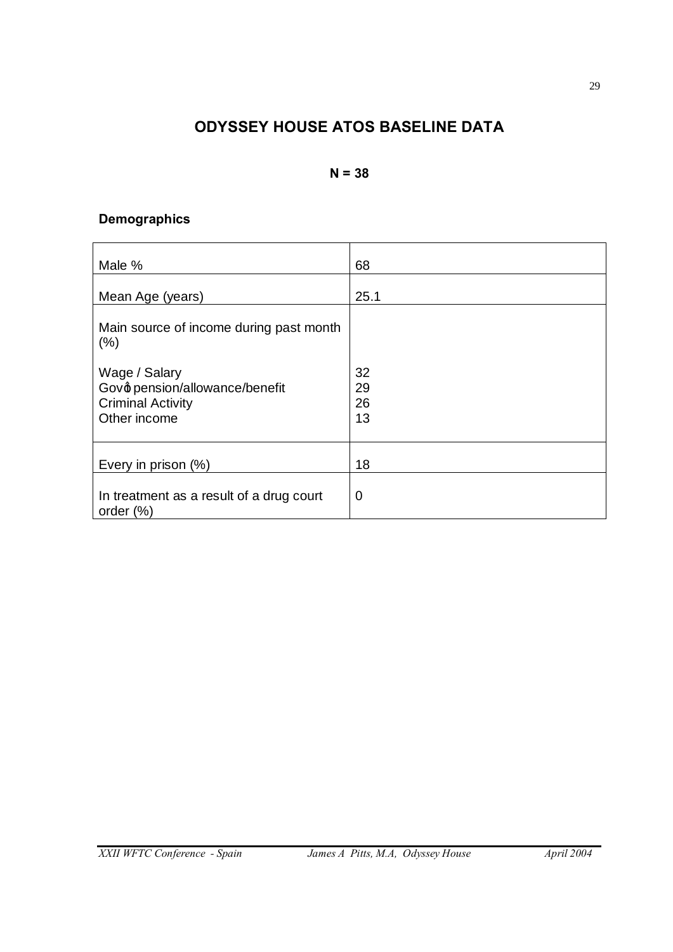# **ODYSSEY HOUSE ATOS BASELINE DATA**

## **N = 38**

# **Demographics**

| Male %                                                                                      | 68                   |
|---------------------------------------------------------------------------------------------|----------------------|
| Mean Age (years)                                                                            | 25.1                 |
| Main source of income during past month<br>(% )                                             |                      |
| Wage / Salary<br>Govo pension/allowance/benefit<br><b>Criminal Activity</b><br>Other income | 32<br>29<br>26<br>13 |
| Every in prison (%)                                                                         | 18                   |
| In treatment as a result of a drug court<br>order $(\%)$                                    | 0                    |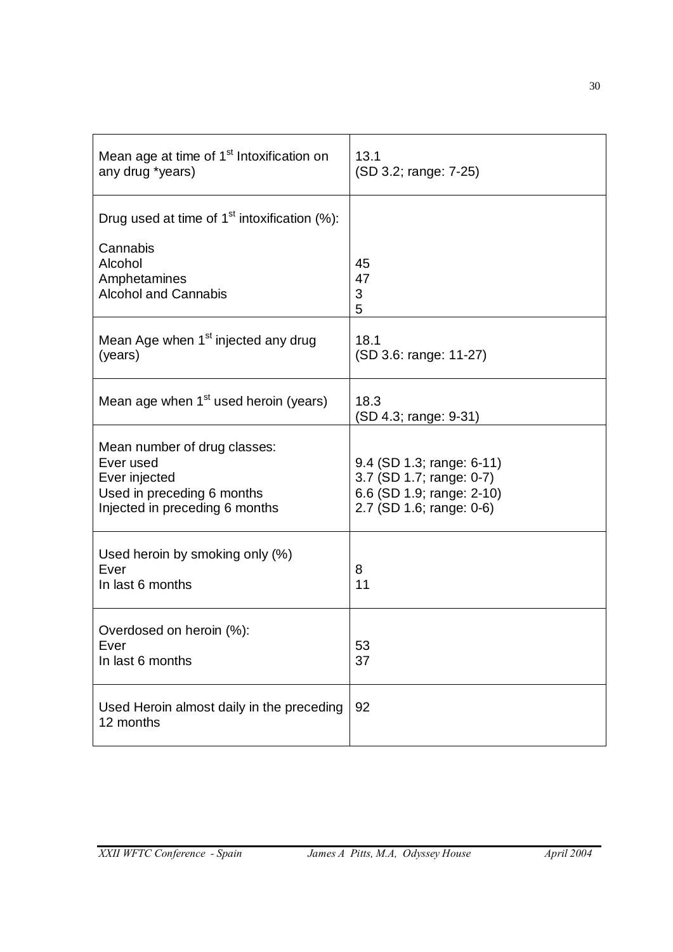| Mean age at time of 1 <sup>st</sup> Intoxification on<br>any drug *years)                                                  | 13.1<br>(SD 3.2; range: 7-25)                                                                                  |
|----------------------------------------------------------------------------------------------------------------------------|----------------------------------------------------------------------------------------------------------------|
| Drug used at time of $1st$ intoxification (%):<br>Cannabis<br>Alcohol<br>Amphetamines<br><b>Alcohol and Cannabis</b>       | 45<br>47<br>3<br>5                                                                                             |
| Mean Age when 1 <sup>st</sup> injected any drug<br>(years)                                                                 | 18.1<br>(SD 3.6: range: 11-27)                                                                                 |
| Mean age when 1 <sup>st</sup> used heroin (years)                                                                          | 18.3<br>(SD 4.3; range: 9-31)                                                                                  |
| Mean number of drug classes:<br>Ever used<br>Ever injected<br>Used in preceding 6 months<br>Injected in preceding 6 months | 9.4 (SD 1.3; range: 6-11)<br>3.7 (SD 1.7; range: 0-7)<br>6.6 (SD 1.9; range: 2-10)<br>2.7 (SD 1.6; range: 0-6) |
| Used heroin by smoking only (%)<br>Ever<br>In last 6 months                                                                | 8<br>11                                                                                                        |
| Overdosed on heroin (%):<br>Ever<br>In last 6 months                                                                       | 53<br>37                                                                                                       |
| Used Heroin almost daily in the preceding<br>12 months                                                                     | 92                                                                                                             |

30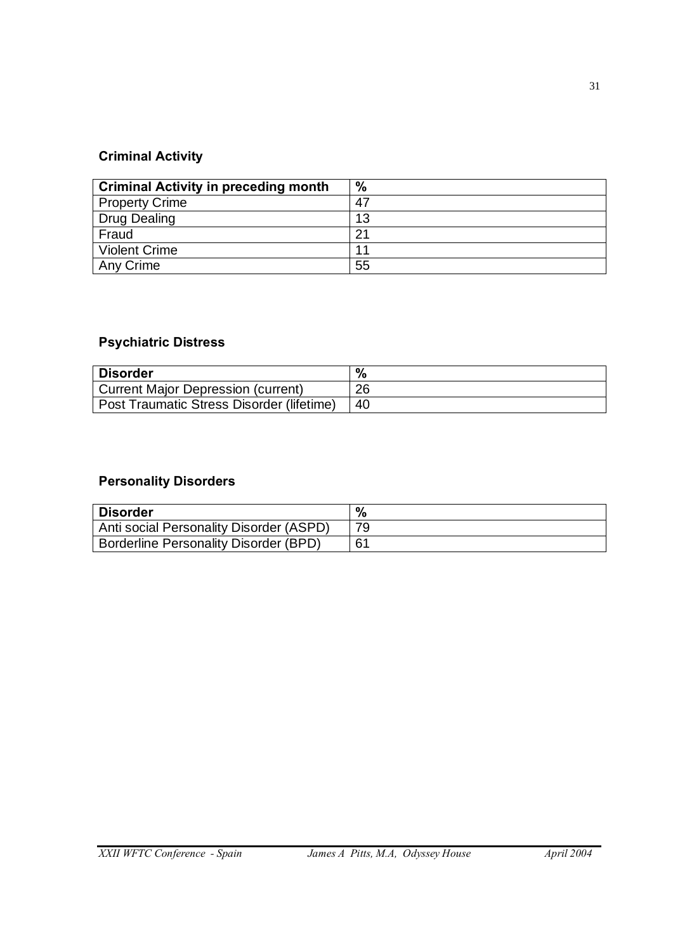# **Criminal Activity**

| <b>Criminal Activity in preceding month</b> | $\%$ |
|---------------------------------------------|------|
| <b>Property Crime</b>                       | 47   |
| Drug Dealing                                | 13   |
| Fraud                                       | 21   |
| <b>Violent Crime</b>                        | 11   |
| Any Crime                                   | 55   |

# **Psychiatric Distress**

| <b>Disorder</b>                           | $\%$ |
|-------------------------------------------|------|
| Current Major Depression (current)        | 26   |
| Post Traumatic Stress Disorder (lifetime) | -40  |

# **Personality Disorders**

| <b>Disorder</b>                              | $\frac{0}{6}$ |
|----------------------------------------------|---------------|
| Anti social Personality Disorder (ASPD)      | 79            |
| <b>Borderline Personality Disorder (BPD)</b> | 61            |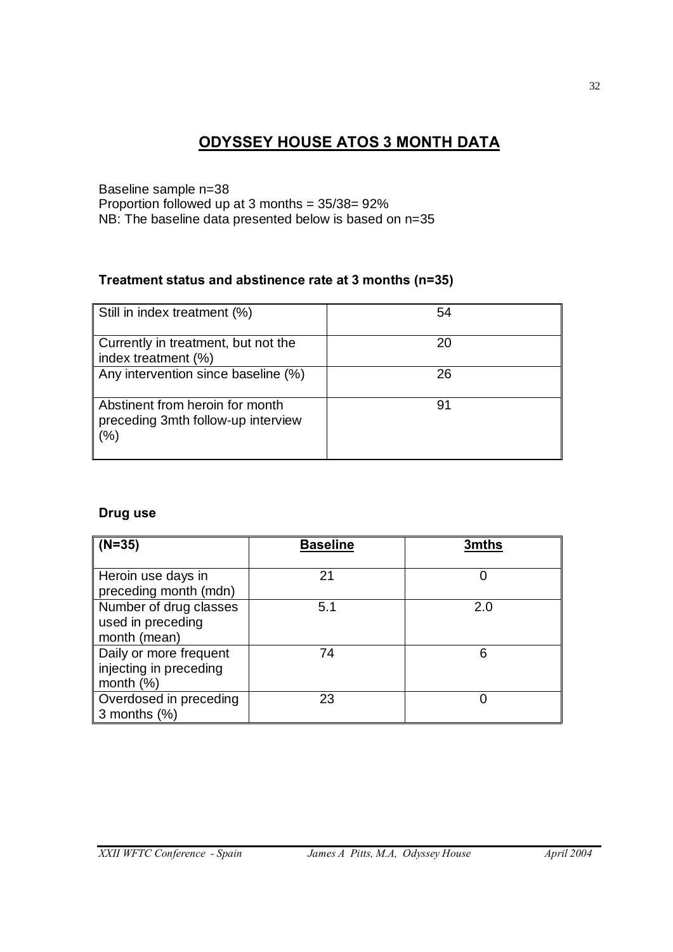# **ODYSSEY HOUSE ATOS 3 MONTH DATA**

Baseline sample n=38 Proportion followed up at 3 months = 35/38= 92% NB: The baseline data presented below is based on n=35

# **Treatment status and abstinence rate at 3 months (n=35)**

| Still in index treatment (%)                                                     | 54 |
|----------------------------------------------------------------------------------|----|
| Currently in treatment, but not the<br>index treatment (%)                       | 20 |
| Any intervention since baseline (%)                                              | 26 |
| Abstinent from heroin for month<br>preceding 3mth follow-up interview<br>$(\% )$ | 91 |

#### **Drug use**

| $(N=35)$               | <b>Baseline</b> | 3mths |
|------------------------|-----------------|-------|
|                        |                 |       |
| Heroin use days in     | 21              |       |
| preceding month (mdn)  |                 |       |
| Number of drug classes | 5.1             | 2.0   |
| used in preceding      |                 |       |
| month (mean)           |                 |       |
| Daily or more frequent | 74              | 6     |
| injecting in preceding |                 |       |
| month $(\%)$           |                 |       |
| Overdosed in preceding | 23              |       |
| 3 months $(\%)$        |                 |       |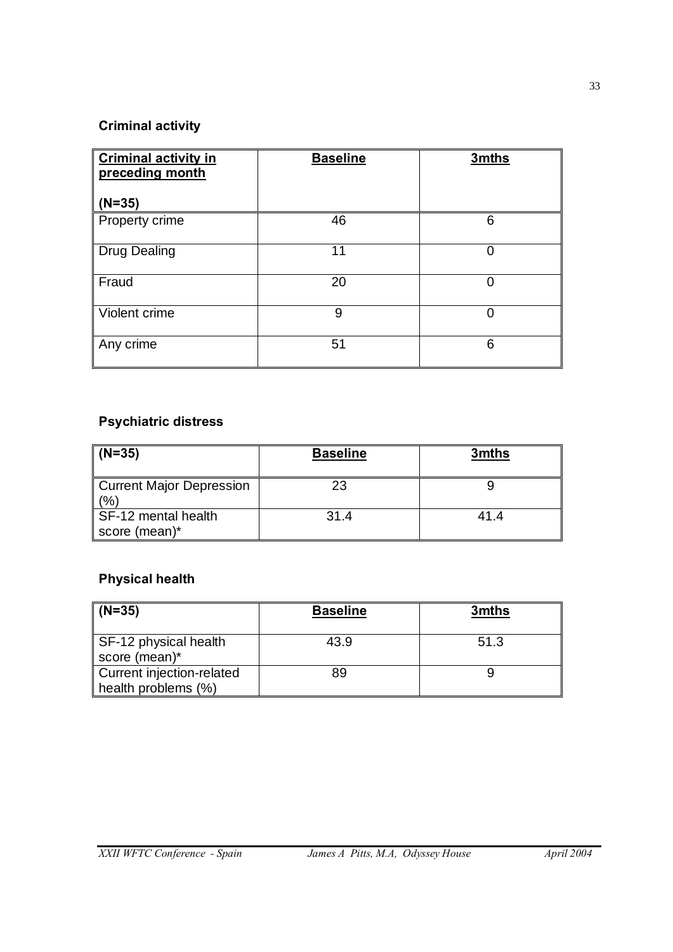# **Criminal activity**

| <b>Criminal activity in</b><br>preceding month | <b>Baseline</b> | 3mths |
|------------------------------------------------|-----------------|-------|
| $(N=35)$                                       |                 |       |
| Property crime                                 | 46              | 6     |
| <b>Drug Dealing</b>                            | 11              | 0     |
| Fraud                                          | 20              | 0     |
| Violent crime                                  | 9               | 0     |
| Any crime                                      | 51              | 6     |

# **Psychiatric distress**

| $(N=35)$                               | <b>Baseline</b> | 3mths |
|----------------------------------------|-----------------|-------|
| <b>Current Major Depression</b><br>(%) | 23              |       |
| SF-12 mental health<br>score (mean)*   | 31.4            | 41.4  |

# **Physical health**

| $(N=35)$                                         | <b>Baseline</b> | 3mths |
|--------------------------------------------------|-----------------|-------|
| SF-12 physical health<br>score (mean)*           | 43.9            | 51.3  |
| Current injection-related<br>health problems (%) | 89              |       |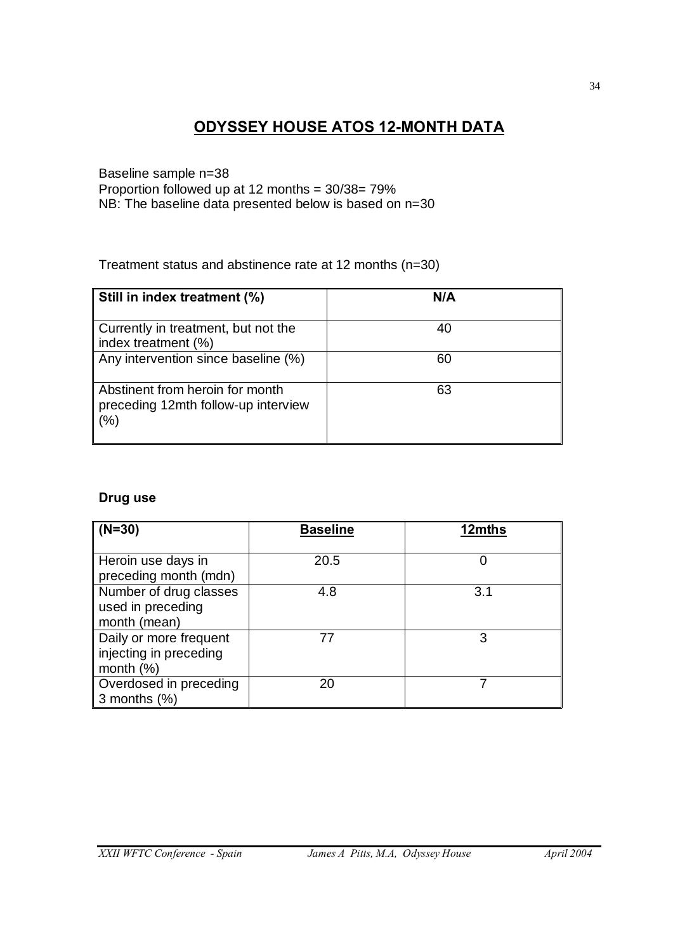# **ODYSSEY HOUSE ATOS 12-MONTH DATA**

Baseline sample n=38 Proportion followed up at 12 months = 30/38= 79% NB: The baseline data presented below is based on n=30

Treatment status and abstinence rate at 12 months (n=30)

| Still in index treatment (%)                                                  | N/A |
|-------------------------------------------------------------------------------|-----|
| Currently in treatment, but not the<br>index treatment (%)                    | 40  |
| Any intervention since baseline (%)                                           | 60  |
| Abstinent from heroin for month<br>preceding 12mth follow-up interview<br>(%) | 63  |

# **Drug use**

| $(N=30)$                                                         | <b>Baseline</b> | 12mths |
|------------------------------------------------------------------|-----------------|--------|
| Heroin use days in<br>preceding month (mdn)                      | 20.5            |        |
| Number of drug classes<br>used in preceding<br>month (mean)      | 4.8             | 3.1    |
| Daily or more frequent<br>injecting in preceding<br>month $(\%)$ | 77              | 3      |
| Overdosed in preceding<br>3 months $(\%)$                        | 20              |        |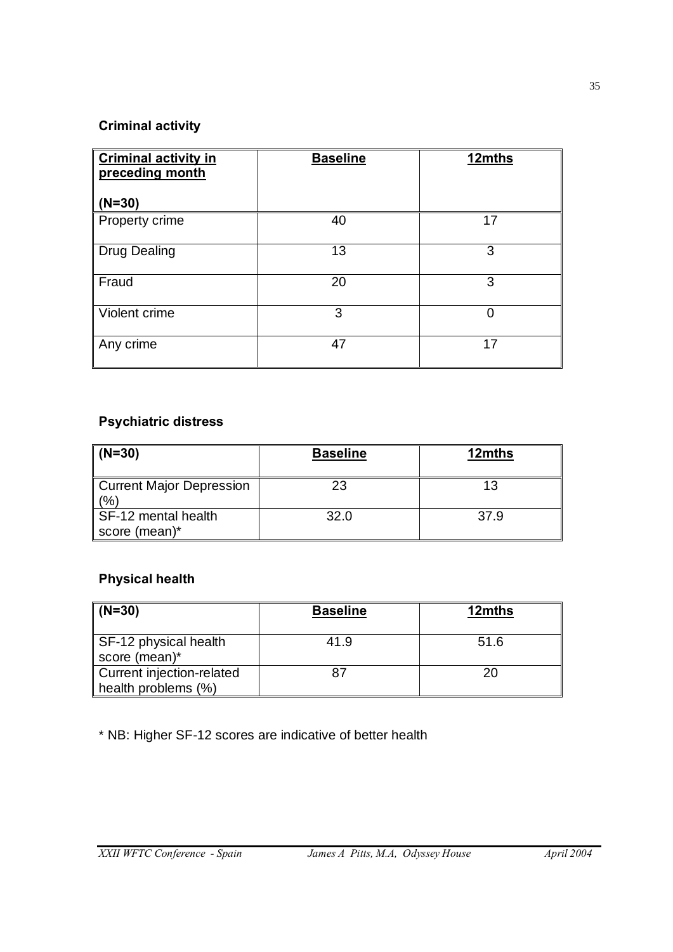# **Criminal activity**

| <b>Criminal activity in</b><br>preceding month | <b>Baseline</b> | 12mths |
|------------------------------------------------|-----------------|--------|
| $(N=30)$                                       |                 |        |
| Property crime                                 | 40              | 17     |
| <b>Drug Dealing</b>                            | 13              | 3      |
| Fraud                                          | 20              | 3      |
| Violent crime                                  | 3               | 0      |
| Any crime                                      | 47              | 17     |

# **Psychiatric distress**

| $(N=30)$                               | <b>Baseline</b> | 12mths |
|----------------------------------------|-----------------|--------|
| <b>Current Major Depression</b><br>(%) | 23              | 13     |
| SF-12 mental health<br>score (mean)*   | 32.0            | 37.9   |

# **Physical health**

| $(N=30)$                                         | <b>Baseline</b> | 12mths |
|--------------------------------------------------|-----------------|--------|
| SF-12 physical health<br>score (mean)*           | 41.9            | 51.6   |
| Current injection-related<br>health problems (%) |                 |        |

\* NB: Higher SF-12 scores are indicative of better health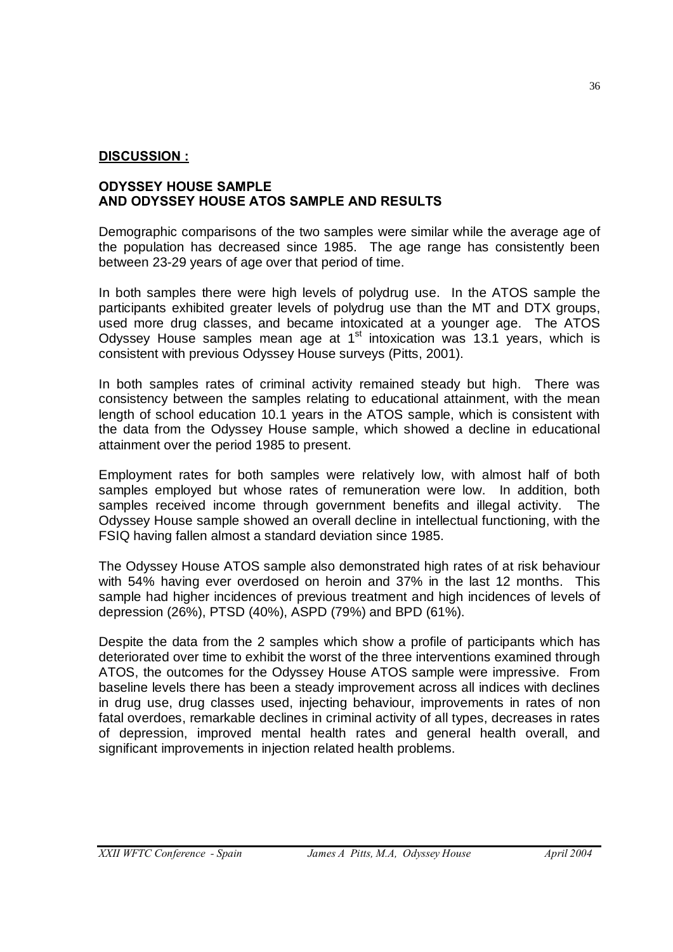#### **DISCUSSION :**

#### **ODYSSEY HOUSE SAMPLE AND ODYSSEY HOUSE ATOS SAMPLE AND RESULTS**

Demographic comparisons of the two samples were similar while the average age of the population has decreased since 1985. The age range has consistently been between 23-29 years of age over that period of time.

In both samples there were high levels of polydrug use. In the ATOS sample the participants exhibited greater levels of polydrug use than the MT and DTX groups, used more drug classes, and became intoxicated at a younger age. The ATOS Odyssey House samples mean age at  $1<sup>st</sup>$  intoxication was 13.1 years, which is consistent with previous Odyssey House surveys (Pitts, 2001).

In both samples rates of criminal activity remained steady but high. There was consistency between the samples relating to educational attainment, with the mean length of school education 10.1 years in the ATOS sample, which is consistent with the data from the Odyssey House sample, which showed a decline in educational attainment over the period 1985 to present.

Employment rates for both samples were relatively low, with almost half of both samples employed but whose rates of remuneration were low. In addition, both samples received income through government benefits and illegal activity. The Odyssey House sample showed an overall decline in intellectual functioning, with the FSIQ having fallen almost a standard deviation since 1985.

The Odyssey House ATOS sample also demonstrated high rates of at risk behaviour with 54% having ever overdosed on heroin and 37% in the last 12 months. This sample had higher incidences of previous treatment and high incidences of levels of depression (26%), PTSD (40%), ASPD (79%) and BPD (61%).

Despite the data from the 2 samples which show a profile of participants which has deteriorated over time to exhibit the worst of the three interventions examined through ATOS, the outcomes for the Odyssey House ATOS sample were impressive. From baseline levels there has been a steady improvement across all indices with declines in drug use, drug classes used, injecting behaviour, improvements in rates of non fatal overdoes, remarkable declines in criminal activity of all types, decreases in rates of depression, improved mental health rates and general health overall, and significant improvements in injection related health problems.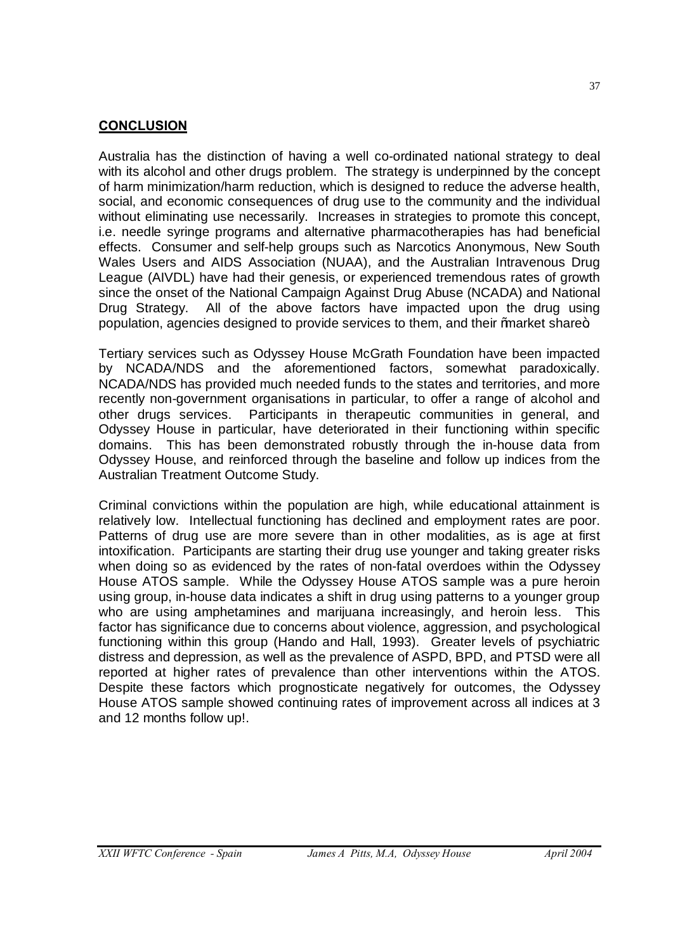#### **CONCLUSION**

Australia has the distinction of having a well co-ordinated national strategy to deal with its alcohol and other drugs problem. The strategy is underpinned by the concept of harm minimization/harm reduction, which is designed to reduce the adverse health, social, and economic consequences of drug use to the community and the individual without eliminating use necessarily. Increases in strategies to promote this concept, i.e. needle syringe programs and alternative pharmacotherapies has had beneficial effects. Consumer and self-help groups such as Narcotics Anonymous, New South Wales Users and AIDS Association (NUAA), and the Australian Intravenous Drug League (AIVDL) have had their genesis, or experienced tremendous rates of growth since the onset of the National Campaign Against Drug Abuse (NCADA) and National Drug Strategy. All of the above factors have impacted upon the drug using population, agencies designed to provide services to them, and their % market share +

Tertiary services such as Odyssey House McGrath Foundation have been impacted by NCADA/NDS and the aforementioned factors, somewhat paradoxically. NCADA/NDS has provided much needed funds to the states and territories, and more recently non-government organisations in particular, to offer a range of alcohol and other drugs services. Participants in therapeutic communities in general, and Odyssey House in particular, have deteriorated in their functioning within specific domains. This has been demonstrated robustly through the in-house data from Odyssey House, and reinforced through the baseline and follow up indices from the Australian Treatment Outcome Study.

Criminal convictions within the population are high, while educational attainment is relatively low. Intellectual functioning has declined and employment rates are poor. Patterns of drug use are more severe than in other modalities, as is age at first intoxification. Participants are starting their drug use younger and taking greater risks when doing so as evidenced by the rates of non-fatal overdoes within the Odyssey House ATOS sample. While the Odyssey House ATOS sample was a pure heroin using group, in-house data indicates a shift in drug using patterns to a younger group who are using amphetamines and marijuana increasingly, and heroin less. This factor has significance due to concerns about violence, aggression, and psychological functioning within this group (Hando and Hall, 1993). Greater levels of psychiatric distress and depression, as well as the prevalence of ASPD, BPD, and PTSD were all reported at higher rates of prevalence than other interventions within the ATOS. Despite these factors which prognosticate negatively for outcomes, the Odyssey House ATOS sample showed continuing rates of improvement across all indices at 3 and 12 months follow up!.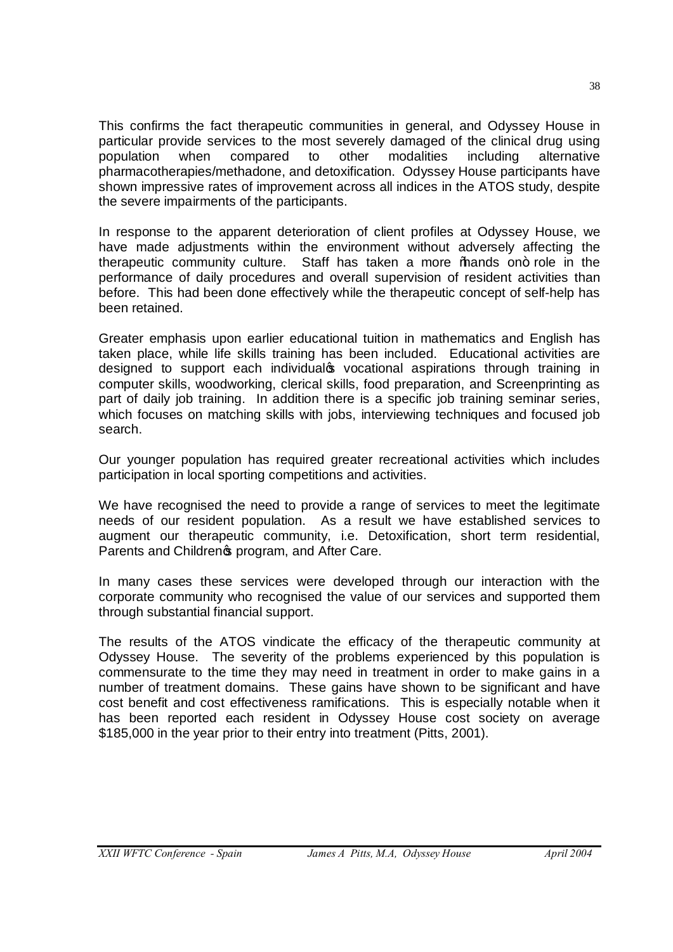This confirms the fact therapeutic communities in general, and Odyssey House in particular provide services to the most severely damaged of the clinical drug using population when compared to other modalities including alternative pharmacotherapies/methadone, and detoxification. Odyssey House participants have shown impressive rates of improvement across all indices in the ATOS study, despite the severe impairments of the participants.

In response to the apparent deterioration of client profiles at Odyssey House, we have made adjustments within the environment without adversely affecting the therapeutic community culture. Staff has taken a more % ands on+ role in the performance of daily procedures and overall supervision of resident activities than before. This had been done effectively while the therapeutic concept of self-help has been retained.

Greater emphasis upon earlier educational tuition in mathematics and English has taken place, while life skills training has been included. Educational activities are designed to support each individualcs vocational aspirations through training in computer skills, woodworking, clerical skills, food preparation, and Screenprinting as part of daily job training. In addition there is a specific job training seminar series, which focuses on matching skills with jobs, interviewing techniques and focused job search.

Our younger population has required greater recreational activities which includes participation in local sporting competitions and activities.

We have recognised the need to provide a range of services to meet the legitimate needs of our resident population. As a result we have established services to augment our therapeutic community, i.e. Detoxification, short term residential, Parents and Children<sup>o</sup>s program, and After Care.

In many cases these services were developed through our interaction with the corporate community who recognised the value of our services and supported them through substantial financial support.

The results of the ATOS vindicate the efficacy of the therapeutic community at Odyssey House. The severity of the problems experienced by this population is commensurate to the time they may need in treatment in order to make gains in a number of treatment domains. These gains have shown to be significant and have cost benefit and cost effectiveness ramifications. This is especially notable when it has been reported each resident in Odyssey House cost society on average \$185,000 in the year prior to their entry into treatment (Pitts, 2001).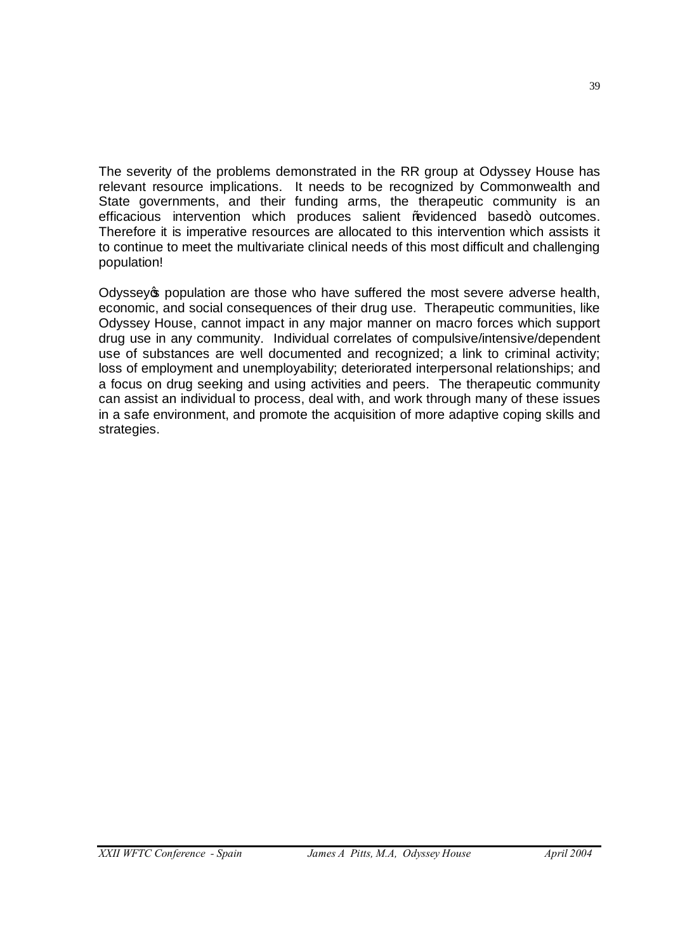The severity of the problems demonstrated in the RR group at Odyssey House has relevant resource implications. It needs to be recognized by Commonwealth and State governments, and their funding arms, the therapeutic community is an efficacious intervention which produces salient ‰videnced based+ outcomes. Therefore it is imperative resources are allocated to this intervention which assists it to continue to meet the multivariate clinical needs of this most difficult and challenging population!

Odyssey to population are those who have suffered the most severe adverse health, economic, and social consequences of their drug use. Therapeutic communities, like Odyssey House, cannot impact in any major manner on macro forces which support drug use in any community. Individual correlates of compulsive/intensive/dependent use of substances are well documented and recognized; a link to criminal activity; loss of employment and unemployability; deteriorated interpersonal relationships; and a focus on drug seeking and using activities and peers. The therapeutic community can assist an individual to process, deal with, and work through many of these issues in a safe environment, and promote the acquisition of more adaptive coping skills and strategies.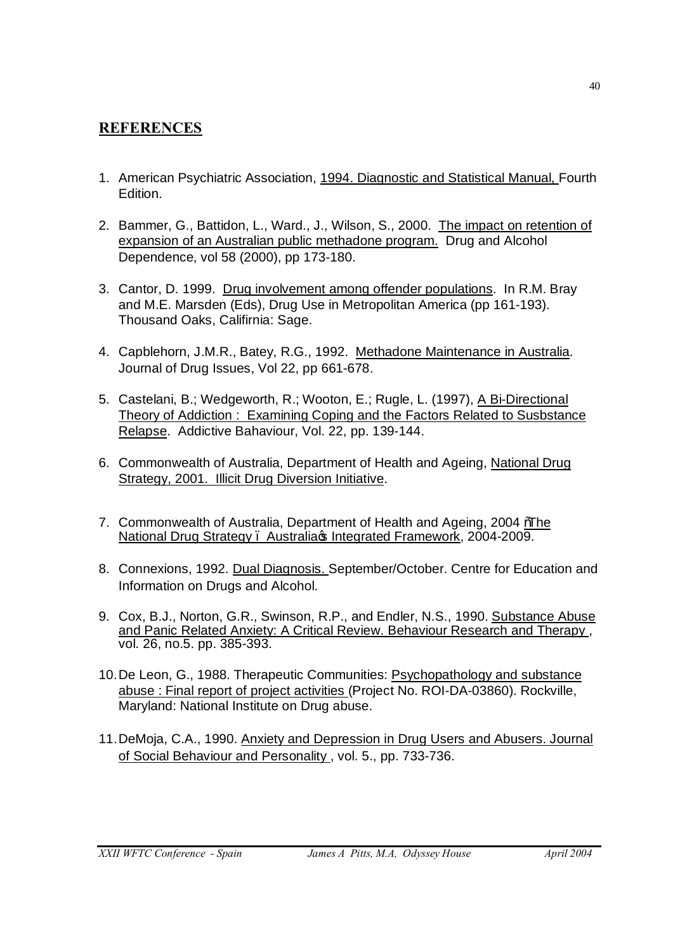# **REFERENCES**

- 1. American Psychiatric Association, 1994. Diagnostic and Statistical Manual, Fourth Edition.
- 2. Bammer, G., Battidon, L., Ward., J., Wilson, S., 2000. The impact on retention of expansion of an Australian public methadone program. Drug and Alcohol Dependence, vol 58 (2000), pp 173-180.
- 3. Cantor, D. 1999. Drug involvement among offender populations. In R.M. Bray and M.E. Marsden (Eds), Drug Use in Metropolitan America (pp 161-193). Thousand Oaks, Califirnia: Sage.
- 4. Capblehorn, J.M.R., Batey, R.G., 1992. Methadone Maintenance in Australia. Journal of Drug Issues, Vol 22, pp 661-678.
- 5. Castelani, B.; Wedgeworth, R.; Wooton, E.; Rugle, L. (1997), A Bi-Directional Theory of Addiction : Examining Coping and the Factors Related to Susbstance Relapse. Addictive Bahaviour, Vol. 22, pp. 139-144.
- 6. Commonwealth of Australia, Department of Health and Ageing, National Drug Strategy, 2001. Illicit Drug Diversion Initiative.
- 7. Commonwealth of Australia, Department of Health and Ageing, 2004 *M*ahe National Drug Strategy . Australia c Integrated Framework, 2004-2009.
- 8. Connexions, 1992. Dual Diagnosis. September/October. Centre for Education and Information on Drugs and Alcohol.
- 9. Cox, B.J., Norton, G.R., Swinson, R.P., and Endler, N.S., 1990. Substance Abuse and Panic Related Anxiety: A Critical Review. Behaviour Research and Therapy, vol. 26, no.5. pp. 385-393.
- 10.De Leon, G., 1988. Therapeutic Communities: Psychopathology and substance abuse : Final report of project activities (Project No. ROI-DA-03860). Rockville, Maryland: National Institute on Drug abuse.
- 11.DeMoja, C.A., 1990. Anxiety and Depression in Drug Users and Abusers. Journal of Social Behaviour and Personality , vol. 5., pp. 733-736.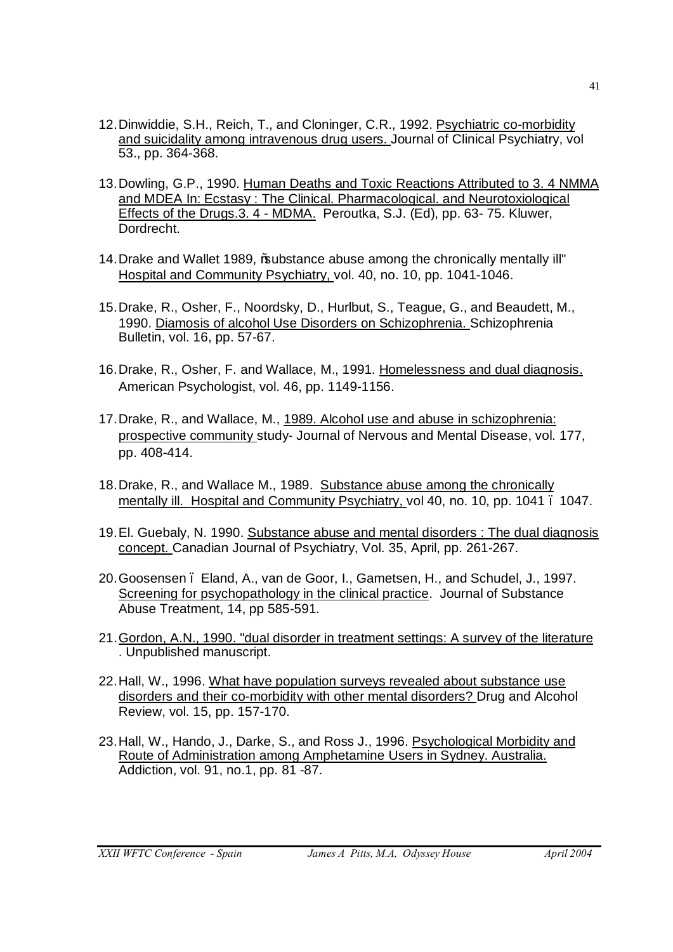- 12. Dinwiddie, S.H., Reich, T., and Cloninger, C.R., 1992. Psychiatric co-morbidity and suicidality among intravenous drug users. Journal of Clinical Psychiatry, vol 53., pp. 364-368.
- 13.Dowling, G.P., 1990. Human Deaths and Toxic Reactions Attributed to 3. 4 NMMA and MDEA In: Ecstasy : The Clinical. Pharmacological. and Neurotoxiological Effects of the Drugs.3. 4 - MDMA. Peroutka, S.J. (Ed), pp. 63- 75. Kluwer, Dordrecht.
- 14.Drake and Wallet 1989, "substance abuse among the chronically mentally ill" Hospital and Community Psychiatry, vol. 40, no. 10, pp. 1041-1046.
- 15.Drake, R., Osher, F., Noordsky, D., Hurlbut, S., Teague, G., and Beaudett, M., 1990. Diamosis of alcohol Use Disorders on Schizophrenia. Schizophrenia Bulletin, vol. 16, pp. 57-67.
- 16.Drake, R., Osher, F. and Wallace, M., 1991. Homelessness and dual diagnosis. American Psychologist, vol. 46, pp. 1149-1156.
- 17.Drake, R., and Wallace, M., 1989. Alcohol use and abuse in schizophrenia: prospective community study- Journal of Nervous and Mental Disease, vol. 177, pp. 408-414.
- 18.Drake, R., and Wallace M., 1989. Substance abuse among the chronically mentally ill. Hospital and Community Psychiatry, vol 40, no. 10, pp. 1041. 1047.
- 19.El. Guebaly, N. 1990. Substance abuse and mental disorders : The dual diagnosis concept. Canadian Journal of Psychiatry, Vol. 35, April, pp. 261-267.
- 20.Goosensen Eland, A., van de Goor, I., Gametsen, H., and Schudel, J., 1997. Screening for psychopathology in the clinical practice. Journal of Substance Abuse Treatment, 14, pp 585-591.
- 21. Gordon, A.N., 1990. "dual disorder in treatment settings: A survey of the literature . Unpublished manuscript.
- 22.Hall, W., 1996. What have population surveys revealed about substance use disorders and their co-morbidity with other mental disorders? Drug and Alcohol Review, vol. 15, pp. 157-170.
- 23.Hall, W., Hando, J., Darke, S., and Ross J., 1996. Psychological Morbidity and Route of Administration among Amphetamine Users in Sydney. Australia. Addiction, vol. 91, no.1, pp. 81 -87.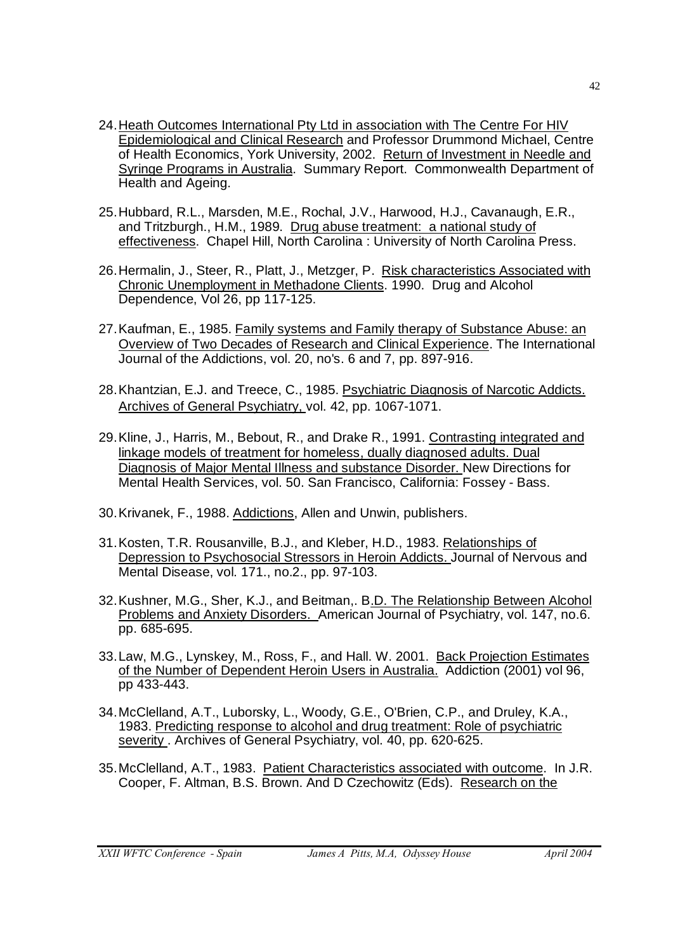- 24.Heath Outcomes International Pty Ltd in association with The Centre For HIV Epidemiological and Clinical Research and Professor Drummond Michael, Centre of Health Economics, York University, 2002. Return of Investment in Needle and Syringe Programs in Australia. Summary Report. Commonwealth Department of Health and Ageing.
- 25.Hubbard, R.L., Marsden, M.E., Rochal, J.V., Harwood, H.J., Cavanaugh, E.R., and Tritzburgh., H.M., 1989. Drug abuse treatment: a national study of effectiveness. Chapel Hill, North Carolina : University of North Carolina Press.
- 26.Hermalin, J., Steer, R., Platt, J., Metzger, P. Risk characteristics Associated with Chronic Unemployment in Methadone Clients. 1990. Drug and Alcohol Dependence, Vol 26, pp 117-125.
- 27.Kaufman, E., 1985. Family systems and Family therapy of Substance Abuse: an Overview of Two Decades of Research and Clinical Experience. The International Journal of the Addictions, vol. 20, no's. 6 and 7, pp. 897-916.
- 28.Khantzian, E.J. and Treece, C., 1985. Psychiatric Diagnosis of Narcotic Addicts. Archives of General Psychiatry, vol. 42, pp. 1067-1071.
- 29.Kline, J., Harris, M., Bebout, R., and Drake R., 1991. Contrasting integrated and linkage models of treatment for homeless, dually diagnosed adults. Dual Diagnosis of Major Mental Illness and substance Disorder. New Directions for Mental Health Services, vol. 50. San Francisco, California: Fossey - Bass.
- 30.Krivanek, F., 1988. Addictions, Allen and Unwin, publishers.
- 31.Kosten, T.R. Rousanville, B.J., and Kleber, H.D., 1983. Relationships of Depression to Psychosocial Stressors in Heroin Addicts. Journal of Nervous and Mental Disease, vol. 171., no.2., pp. 97-103.
- 32.Kushner, M.G., Sher, K.J., and Beitman,. B.D. The Relationship Between Alcohol Problems and Anxiety Disorders. American Journal of Psychiatry, vol. 147, no.6. pp. 685-695.
- 33.Law, M.G., Lynskey, M., Ross, F., and Hall. W. 2001. Back Projection Estimates of the Number of Dependent Heroin Users in Australia. Addiction (2001) vol 96, pp 433-443.
- 34.McClelland, A.T., Luborsky, L., Woody, G.E., O'Brien, C.P., and Druley, K.A., 1983. Predicting response to alcohol and drug treatment: Role of psychiatric severity . Archives of General Psychiatry, vol. 40, pp. 620-625.
- 35.McClelland, A.T., 1983. Patient Characteristics associated with outcome. In J.R. Cooper, F. Altman, B.S. Brown. And D Czechowitz (Eds). Research on the

42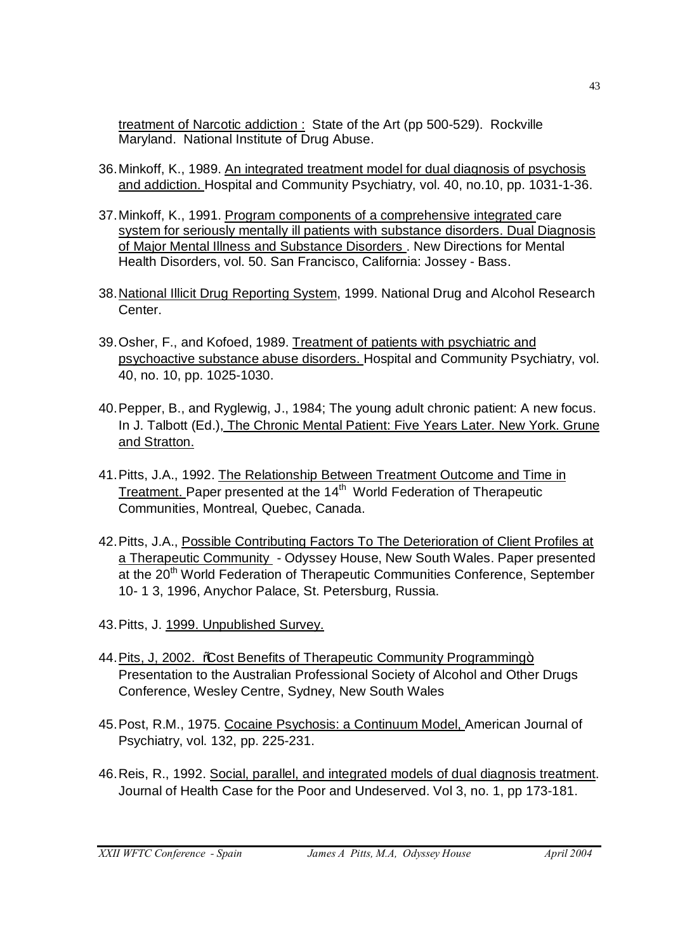treatment of Narcotic addiction : State of the Art (pp 500-529). Rockville Maryland. National Institute of Drug Abuse.

- 36.Minkoff, K., 1989. An integrated treatment model for dual diagnosis of psychosis and addiction. Hospital and Community Psychiatry, vol. 40, no.10, pp. 1031-1-36.
- 37.Minkoff, K., 1991. Program components of a comprehensive integrated care system for seriously mentally ill patients with substance disorders. Dual Diagnosis of Major Mental Illness and Substance Disorders . New Directions for Mental Health Disorders, vol. 50. San Francisco, California: Jossey - Bass.
- 38.National Illicit Drug Reporting System, 1999. National Drug and Alcohol Research Center.
- 39.Osher, F., and Kofoed, 1989. Treatment of patients with psychiatric and psychoactive substance abuse disorders. Hospital and Community Psychiatry, vol. 40, no. 10, pp. 1025-1030.
- 40.Pepper, B., and Ryglewig, J., 1984; The young adult chronic patient: A new focus. In J. Talbott (Ed.), The Chronic Mental Patient: Five Years Later. New York. Grune and Stratton.
- 41.Pitts, J.A., 1992. The Relationship Between Treatment Outcome and Time in Treatment. Paper presented at the 14<sup>th</sup> World Federation of Therapeutic Communities, Montreal, Quebec, Canada.
- 42.Pitts, J.A., Possible Contributing Factors To The Deterioration of Client Profiles at a Therapeutic Community - Odyssey House, New South Wales. Paper presented at the 20<sup>th</sup> World Federation of Therapeutic Communities Conference, September 10- 1 3, 1996, Anychor Palace, St. Petersburg, Russia.
- 43.Pitts, J. 1999. Unpublished Survey.
- 44. Pits, J, 2002. % Cost Benefits of Therapeutic Community Programming+ Presentation to the Australian Professional Society of Alcohol and Other Drugs Conference, Wesley Centre, Sydney, New South Wales
- 45.Post, R.M., 1975. Cocaine Psychosis: a Continuum Model, American Journal of Psychiatry, vol. 132, pp. 225-231.
- 46.Reis, R., 1992. Social, parallel, and integrated models of dual diagnosis treatment. Journal of Health Case for the Poor and Undeserved. Vol 3, no. 1, pp 173-181.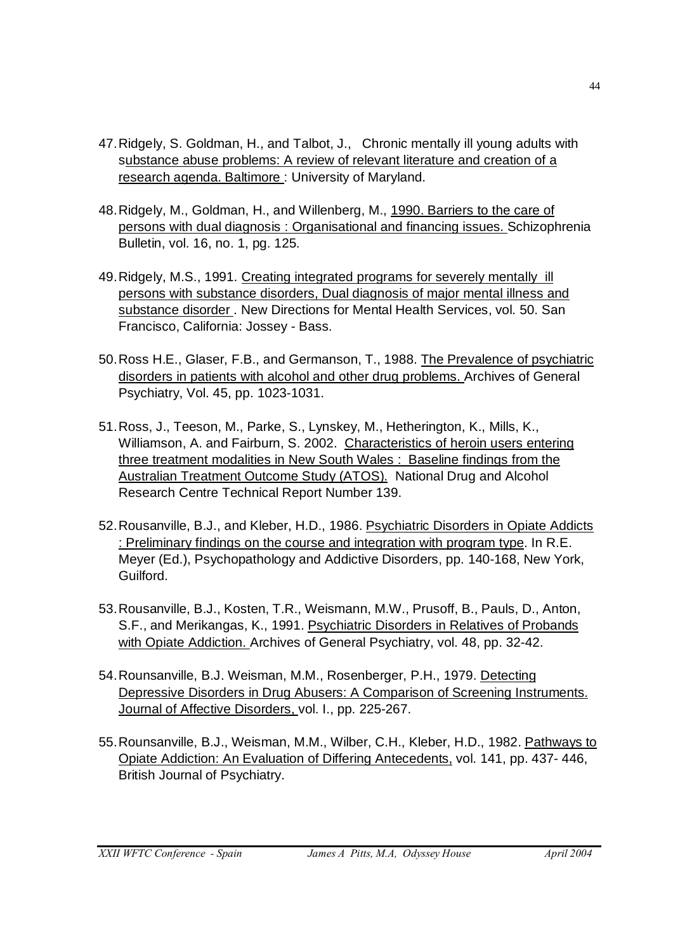- 47.Ridgely, S. Goldman, H., and Talbot, J., Chronic mentally ill young adults with substance abuse problems: A review of relevant literature and creation of a research agenda. Baltimore: University of Maryland.
- 48.Ridgely, M., Goldman, H., and Willenberg, M., 1990. Barriers to the care of persons with dual diagnosis : Organisational and financing issues. Schizophrenia Bulletin, vol. 16, no. 1, pg. 125.
- 49.Ridgely, M.S., 1991. Creating integrated programs for severely mentally ill persons with substance disorders, Dual diagnosis of major mental illness and substance disorder . New Directions for Mental Health Services, vol. 50. San Francisco, California: Jossey - Bass.
- 50.Ross H.E., Glaser, F.B., and Germanson, T., 1988. The Prevalence of psychiatric disorders in patients with alcohol and other drug problems. Archives of General Psychiatry, Vol. 45, pp. 1023-1031.
- 51.Ross, J., Teeson, M., Parke, S., Lynskey, M., Hetherington, K., Mills, K., Williamson, A. and Fairburn, S. 2002. Characteristics of heroin users entering three treatment modalities in New South Wales : Baseline findings from the Australian Treatment Outcome Study (ATOS). National Drug and Alcohol Research Centre Technical Report Number 139.
- 52.Rousanville, B.J., and Kleber, H.D., 1986. Psychiatric Disorders in Opiate Addicts : Preliminary findings on the course and integration with program type. In R.E. Meyer (Ed.), Psychopathology and Addictive Disorders, pp. 140-168, New York, Guilford.
- 53.Rousanville, B.J., Kosten, T.R., Weismann, M.W., Prusoff, B., Pauls, D., Anton, S.F., and Merikangas, K., 1991. Psychiatric Disorders in Relatives of Probands with Opiate Addiction. Archives of General Psychiatry, vol. 48, pp. 32-42.
- 54.Rounsanville, B.J. Weisman, M.M., Rosenberger, P.H., 1979. Detecting Depressive Disorders in Drug Abusers: A Comparison of Screening Instruments. Journal of Affective Disorders, vol. I., pp. 225-267.
- 55.Rounsanville, B.J., Weisman, M.M., Wilber, C.H., Kleber, H.D., 1982. Pathways to Opiate Addiction: An Evaluation of Differing Antecedents, vol. 141, pp. 437- 446, British Journal of Psychiatry.

44